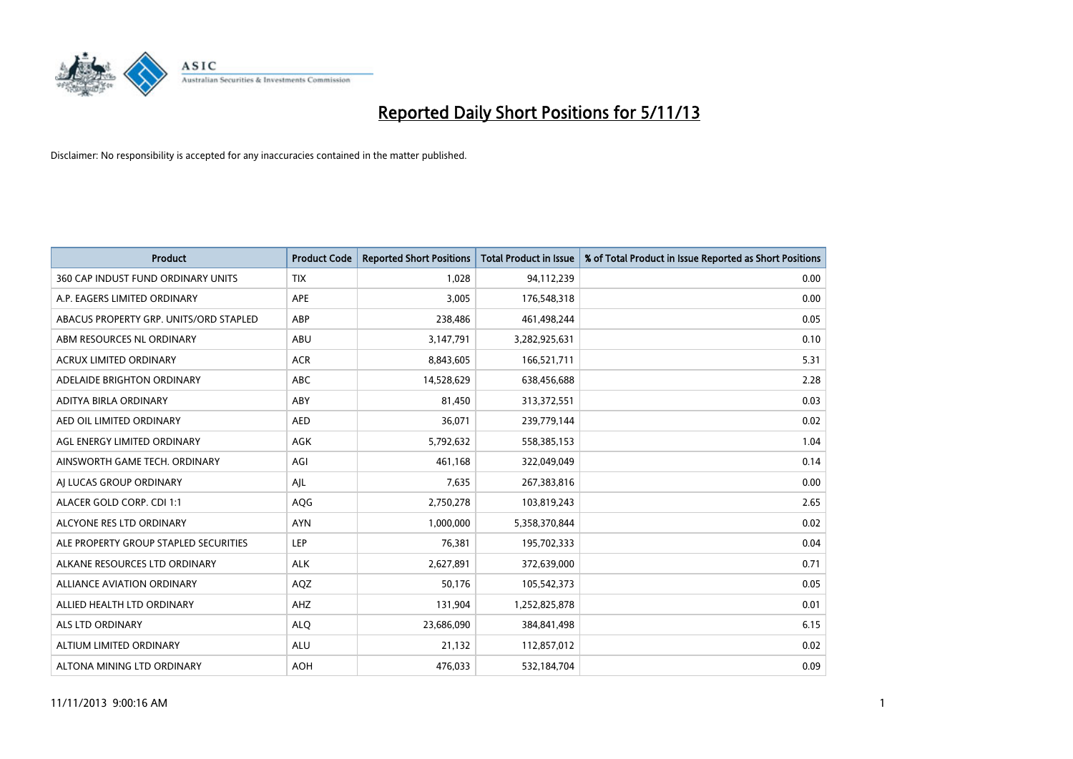

| <b>Product</b>                         | <b>Product Code</b> | <b>Reported Short Positions</b> | <b>Total Product in Issue</b> | % of Total Product in Issue Reported as Short Positions |
|----------------------------------------|---------------------|---------------------------------|-------------------------------|---------------------------------------------------------|
| 360 CAP INDUST FUND ORDINARY UNITS     | <b>TIX</b>          | 1,028                           | 94,112,239                    | 0.00                                                    |
| A.P. EAGERS LIMITED ORDINARY           | APE                 | 3,005                           | 176,548,318                   | 0.00                                                    |
| ABACUS PROPERTY GRP. UNITS/ORD STAPLED | ABP                 | 238,486                         | 461,498,244                   | 0.05                                                    |
| ABM RESOURCES NL ORDINARY              | ABU                 | 3,147,791                       | 3,282,925,631                 | 0.10                                                    |
| <b>ACRUX LIMITED ORDINARY</b>          | <b>ACR</b>          | 8,843,605                       | 166,521,711                   | 5.31                                                    |
| ADELAIDE BRIGHTON ORDINARY             | <b>ABC</b>          | 14,528,629                      | 638,456,688                   | 2.28                                                    |
| ADITYA BIRLA ORDINARY                  | <b>ABY</b>          | 81,450                          | 313,372,551                   | 0.03                                                    |
| AED OIL LIMITED ORDINARY               | <b>AED</b>          | 36,071                          | 239,779,144                   | 0.02                                                    |
| AGL ENERGY LIMITED ORDINARY            | <b>AGK</b>          | 5,792,632                       | 558,385,153                   | 1.04                                                    |
| AINSWORTH GAME TECH. ORDINARY          | AGI                 | 461,168                         | 322,049,049                   | 0.14                                                    |
| AI LUCAS GROUP ORDINARY                | AJL                 | 7,635                           | 267,383,816                   | 0.00                                                    |
| ALACER GOLD CORP. CDI 1:1              | AQG                 | 2,750,278                       | 103,819,243                   | 2.65                                                    |
| ALCYONE RES LTD ORDINARY               | <b>AYN</b>          | 1,000,000                       | 5,358,370,844                 | 0.02                                                    |
| ALE PROPERTY GROUP STAPLED SECURITIES  | LEP                 | 76,381                          | 195,702,333                   | 0.04                                                    |
| ALKANE RESOURCES LTD ORDINARY          | <b>ALK</b>          | 2,627,891                       | 372,639,000                   | 0.71                                                    |
| ALLIANCE AVIATION ORDINARY             | AQZ                 | 50,176                          | 105,542,373                   | 0.05                                                    |
| ALLIED HEALTH LTD ORDINARY             | AHZ                 | 131,904                         | 1,252,825,878                 | 0.01                                                    |
| <b>ALS LTD ORDINARY</b>                | <b>ALQ</b>          | 23,686,090                      | 384, 841, 498                 | 6.15                                                    |
| ALTIUM LIMITED ORDINARY                | <b>ALU</b>          | 21,132                          | 112,857,012                   | 0.02                                                    |
| ALTONA MINING LTD ORDINARY             | <b>AOH</b>          | 476,033                         | 532,184,704                   | 0.09                                                    |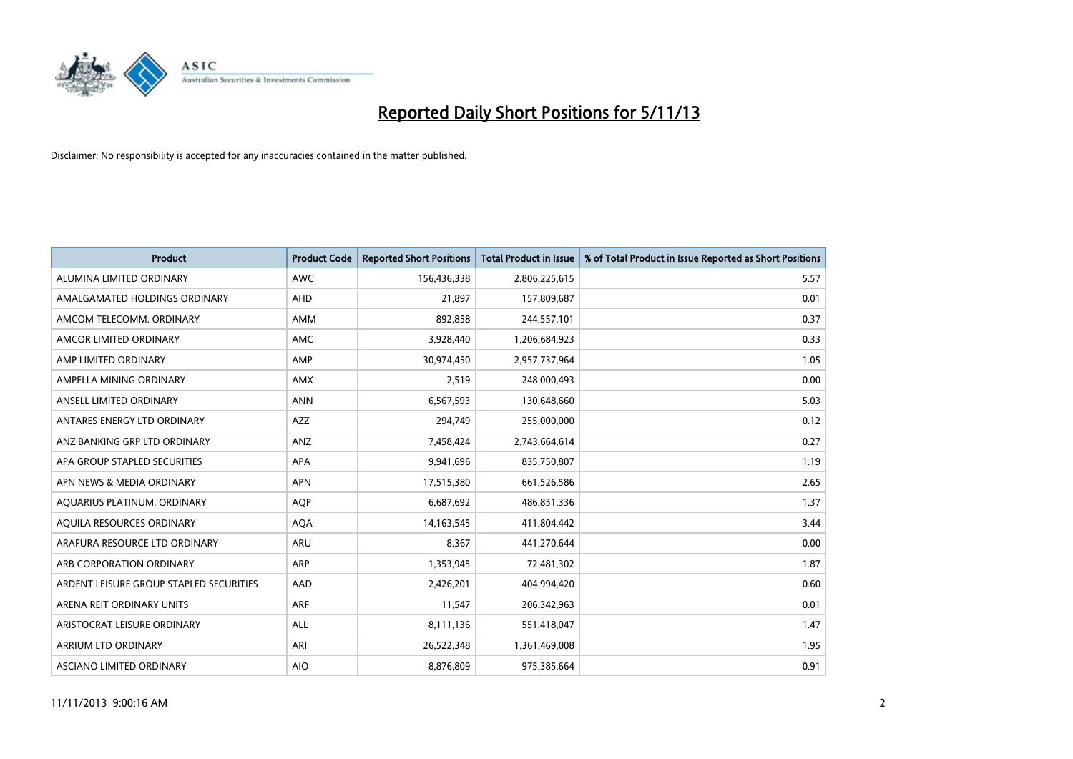

| <b>Product</b>                          | <b>Product Code</b> | <b>Reported Short Positions</b> | <b>Total Product in Issue</b> | % of Total Product in Issue Reported as Short Positions |
|-----------------------------------------|---------------------|---------------------------------|-------------------------------|---------------------------------------------------------|
| ALUMINA LIMITED ORDINARY                | <b>AWC</b>          | 156,436,338                     | 2,806,225,615                 | 5.57                                                    |
| AMALGAMATED HOLDINGS ORDINARY           | AHD                 | 21.897                          | 157,809,687                   | 0.01                                                    |
| AMCOM TELECOMM, ORDINARY                | AMM                 | 892,858                         | 244,557,101                   | 0.37                                                    |
| AMCOR LIMITED ORDINARY                  | AMC                 | 3,928,440                       | 1,206,684,923                 | 0.33                                                    |
| AMP LIMITED ORDINARY                    | AMP                 | 30,974,450                      | 2,957,737,964                 | 1.05                                                    |
| AMPELLA MINING ORDINARY                 | AMX                 | 2,519                           | 248,000,493                   | 0.00                                                    |
| ANSELL LIMITED ORDINARY                 | <b>ANN</b>          | 6,567,593                       | 130,648,660                   | 5.03                                                    |
| ANTARES ENERGY LTD ORDINARY             | AZZ                 | 294,749                         | 255,000,000                   | 0.12                                                    |
| ANZ BANKING GRP LTD ORDINARY            | ANZ                 | 7,458,424                       | 2,743,664,614                 | 0.27                                                    |
| APA GROUP STAPLED SECURITIES            | <b>APA</b>          | 9,941,696                       | 835,750,807                   | 1.19                                                    |
| APN NEWS & MEDIA ORDINARY               | <b>APN</b>          | 17,515,380                      | 661,526,586                   | 2.65                                                    |
| AQUARIUS PLATINUM. ORDINARY             | AQP                 | 6,687,692                       | 486,851,336                   | 1.37                                                    |
| AQUILA RESOURCES ORDINARY               | <b>AQA</b>          | 14, 163, 545                    | 411,804,442                   | 3.44                                                    |
| ARAFURA RESOURCE LTD ORDINARY           | <b>ARU</b>          | 8,367                           | 441,270,644                   | 0.00                                                    |
| ARB CORPORATION ORDINARY                | ARP                 | 1,353,945                       | 72,481,302                    | 1.87                                                    |
| ARDENT LEISURE GROUP STAPLED SECURITIES | <b>AAD</b>          | 2,426,201                       | 404,994,420                   | 0.60                                                    |
| ARENA REIT ORDINARY UNITS               | <b>ARF</b>          | 11,547                          | 206,342,963                   | 0.01                                                    |
| ARISTOCRAT LEISURE ORDINARY             | ALL                 | 8,111,136                       | 551,418,047                   | 1.47                                                    |
| ARRIUM LTD ORDINARY                     | ARI                 | 26,522,348                      | 1,361,469,008                 | 1.95                                                    |
| ASCIANO LIMITED ORDINARY                | <b>AIO</b>          | 8,876,809                       | 975,385,664                   | 0.91                                                    |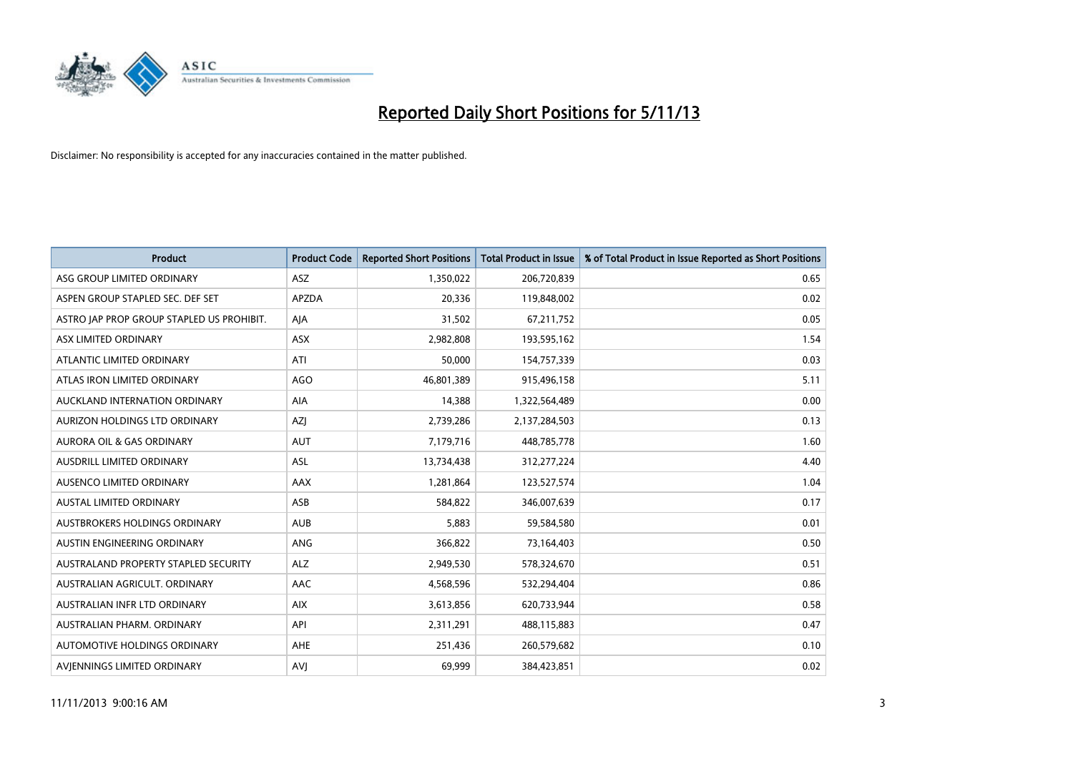

| <b>Product</b>                            | <b>Product Code</b> | <b>Reported Short Positions</b> | <b>Total Product in Issue</b> | % of Total Product in Issue Reported as Short Positions |
|-------------------------------------------|---------------------|---------------------------------|-------------------------------|---------------------------------------------------------|
| ASG GROUP LIMITED ORDINARY                | <b>ASZ</b>          | 1,350,022                       | 206,720,839                   | 0.65                                                    |
| ASPEN GROUP STAPLED SEC. DEF SET          | <b>APZDA</b>        | 20,336                          | 119,848,002                   | 0.02                                                    |
| ASTRO JAP PROP GROUP STAPLED US PROHIBIT. | AJA                 | 31,502                          | 67,211,752                    | 0.05                                                    |
| ASX LIMITED ORDINARY                      | ASX                 | 2,982,808                       | 193,595,162                   | 1.54                                                    |
| ATLANTIC LIMITED ORDINARY                 | ATI                 | 50,000                          | 154,757,339                   | 0.03                                                    |
| ATLAS IRON LIMITED ORDINARY               | <b>AGO</b>          | 46,801,389                      | 915,496,158                   | 5.11                                                    |
| AUCKLAND INTERNATION ORDINARY             | AIA                 | 14,388                          | 1,322,564,489                 | 0.00                                                    |
| AURIZON HOLDINGS LTD ORDINARY             | AZJ                 | 2,739,286                       | 2,137,284,503                 | 0.13                                                    |
| <b>AURORA OIL &amp; GAS ORDINARY</b>      | <b>AUT</b>          | 7,179,716                       | 448,785,778                   | 1.60                                                    |
| AUSDRILL LIMITED ORDINARY                 | ASL                 | 13,734,438                      | 312,277,224                   | 4.40                                                    |
| AUSENCO LIMITED ORDINARY                  | AAX                 | 1,281,864                       | 123,527,574                   | 1.04                                                    |
| <b>AUSTAL LIMITED ORDINARY</b>            | ASB                 | 584,822                         | 346,007,639                   | 0.17                                                    |
| AUSTBROKERS HOLDINGS ORDINARY             | <b>AUB</b>          | 5,883                           | 59,584,580                    | 0.01                                                    |
| AUSTIN ENGINEERING ORDINARY               | ANG                 | 366,822                         | 73,164,403                    | 0.50                                                    |
| AUSTRALAND PROPERTY STAPLED SECURITY      | <b>ALZ</b>          | 2,949,530                       | 578,324,670                   | 0.51                                                    |
| AUSTRALIAN AGRICULT. ORDINARY             | AAC                 | 4,568,596                       | 532,294,404                   | 0.86                                                    |
| AUSTRALIAN INFR LTD ORDINARY              | <b>AIX</b>          | 3,613,856                       | 620,733,944                   | 0.58                                                    |
| AUSTRALIAN PHARM, ORDINARY                | API                 | 2,311,291                       | 488,115,883                   | 0.47                                                    |
| AUTOMOTIVE HOLDINGS ORDINARY              | <b>AHE</b>          | 251,436                         | 260,579,682                   | 0.10                                                    |
| AVIENNINGS LIMITED ORDINARY               | <b>AVJ</b>          | 69,999                          | 384,423,851                   | 0.02                                                    |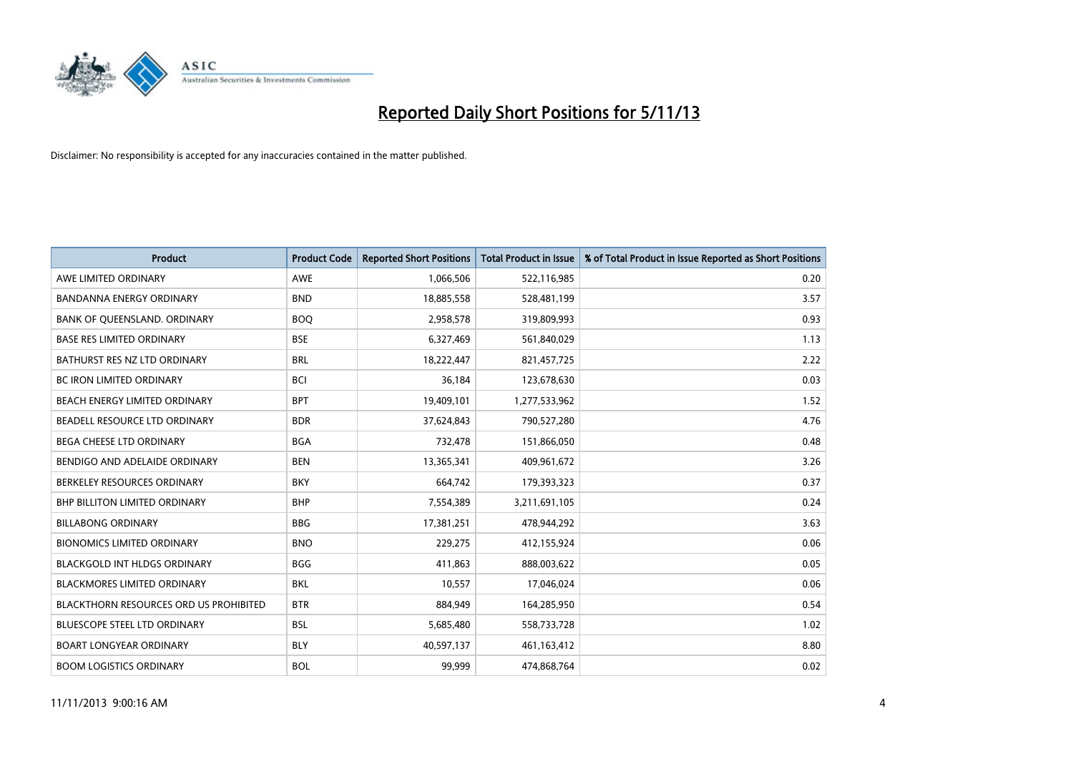

| <b>Product</b>                         | <b>Product Code</b> | <b>Reported Short Positions</b> | <b>Total Product in Issue</b> | % of Total Product in Issue Reported as Short Positions |
|----------------------------------------|---------------------|---------------------------------|-------------------------------|---------------------------------------------------------|
| AWE LIMITED ORDINARY                   | <b>AWE</b>          | 1,066,506                       | 522,116,985                   | 0.20                                                    |
| BANDANNA ENERGY ORDINARY               | <b>BND</b>          | 18,885,558                      | 528,481,199                   | 3.57                                                    |
| BANK OF QUEENSLAND. ORDINARY           | <b>BOQ</b>          | 2,958,578                       | 319,809,993                   | 0.93                                                    |
| <b>BASE RES LIMITED ORDINARY</b>       | <b>BSE</b>          | 6,327,469                       | 561,840,029                   | 1.13                                                    |
| BATHURST RES NZ LTD ORDINARY           | <b>BRL</b>          | 18,222,447                      | 821,457,725                   | 2.22                                                    |
| <b>BC IRON LIMITED ORDINARY</b>        | <b>BCI</b>          | 36,184                          | 123,678,630                   | 0.03                                                    |
| BEACH ENERGY LIMITED ORDINARY          | <b>BPT</b>          | 19,409,101                      | 1,277,533,962                 | 1.52                                                    |
| BEADELL RESOURCE LTD ORDINARY          | <b>BDR</b>          | 37,624,843                      | 790,527,280                   | 4.76                                                    |
| <b>BEGA CHEESE LTD ORDINARY</b>        | <b>BGA</b>          | 732,478                         | 151,866,050                   | 0.48                                                    |
| BENDIGO AND ADELAIDE ORDINARY          | <b>BEN</b>          | 13,365,341                      | 409,961,672                   | 3.26                                                    |
| BERKELEY RESOURCES ORDINARY            | <b>BKY</b>          | 664,742                         | 179,393,323                   | 0.37                                                    |
| <b>BHP BILLITON LIMITED ORDINARY</b>   | <b>BHP</b>          | 7,554,389                       | 3,211,691,105                 | 0.24                                                    |
| <b>BILLABONG ORDINARY</b>              | <b>BBG</b>          | 17,381,251                      | 478,944,292                   | 3.63                                                    |
| <b>BIONOMICS LIMITED ORDINARY</b>      | <b>BNO</b>          | 229,275                         | 412,155,924                   | 0.06                                                    |
| <b>BLACKGOLD INT HLDGS ORDINARY</b>    | <b>BGG</b>          | 411,863                         | 888,003,622                   | 0.05                                                    |
| BLACKMORES LIMITED ORDINARY            | <b>BKL</b>          | 10,557                          | 17,046,024                    | 0.06                                                    |
| BLACKTHORN RESOURCES ORD US PROHIBITED | <b>BTR</b>          | 884,949                         | 164,285,950                   | 0.54                                                    |
| BLUESCOPE STEEL LTD ORDINARY           | <b>BSL</b>          | 5,685,480                       | 558,733,728                   | 1.02                                                    |
| <b>BOART LONGYEAR ORDINARY</b>         | <b>BLY</b>          | 40,597,137                      | 461,163,412                   | 8.80                                                    |
| <b>BOOM LOGISTICS ORDINARY</b>         | <b>BOL</b>          | 99,999                          | 474,868,764                   | 0.02                                                    |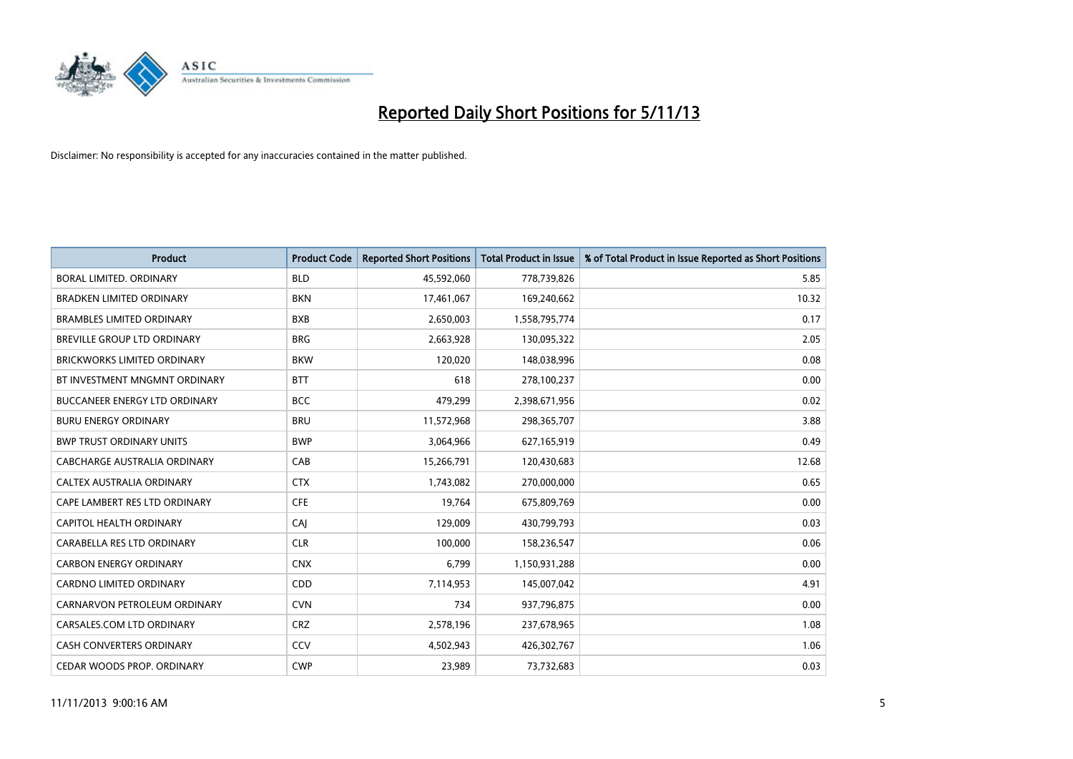

| <b>Product</b>                       | <b>Product Code</b> | <b>Reported Short Positions</b> | <b>Total Product in Issue</b> | % of Total Product in Issue Reported as Short Positions |
|--------------------------------------|---------------------|---------------------------------|-------------------------------|---------------------------------------------------------|
| <b>BORAL LIMITED, ORDINARY</b>       | <b>BLD</b>          | 45,592,060                      | 778,739,826                   | 5.85                                                    |
| <b>BRADKEN LIMITED ORDINARY</b>      | <b>BKN</b>          | 17,461,067                      | 169,240,662                   | 10.32                                                   |
| <b>BRAMBLES LIMITED ORDINARY</b>     | <b>BXB</b>          | 2,650,003                       | 1,558,795,774                 | 0.17                                                    |
| BREVILLE GROUP LTD ORDINARY          | <b>BRG</b>          | 2,663,928                       | 130,095,322                   | 2.05                                                    |
| <b>BRICKWORKS LIMITED ORDINARY</b>   | <b>BKW</b>          | 120,020                         | 148,038,996                   | 0.08                                                    |
| BT INVESTMENT MNGMNT ORDINARY        | <b>BTT</b>          | 618                             | 278,100,237                   | 0.00                                                    |
| <b>BUCCANEER ENERGY LTD ORDINARY</b> | <b>BCC</b>          | 479,299                         | 2,398,671,956                 | 0.02                                                    |
| <b>BURU ENERGY ORDINARY</b>          | <b>BRU</b>          | 11,572,968                      | 298,365,707                   | 3.88                                                    |
| <b>BWP TRUST ORDINARY UNITS</b>      | <b>BWP</b>          | 3,064,966                       | 627,165,919                   | 0.49                                                    |
| CABCHARGE AUSTRALIA ORDINARY         | CAB                 | 15,266,791                      | 120,430,683                   | 12.68                                                   |
| CALTEX AUSTRALIA ORDINARY            | <b>CTX</b>          | 1,743,082                       | 270,000,000                   | 0.65                                                    |
| CAPE LAMBERT RES LTD ORDINARY        | <b>CFE</b>          | 19,764                          | 675,809,769                   | 0.00                                                    |
| CAPITOL HEALTH ORDINARY              | CAI                 | 129,009                         | 430,799,793                   | 0.03                                                    |
| CARABELLA RES LTD ORDINARY           | <b>CLR</b>          | 100,000                         | 158,236,547                   | 0.06                                                    |
| <b>CARBON ENERGY ORDINARY</b>        | <b>CNX</b>          | 6,799                           | 1,150,931,288                 | 0.00                                                    |
| CARDNO LIMITED ORDINARY              | CDD                 | 7,114,953                       | 145,007,042                   | 4.91                                                    |
| CARNARVON PETROLEUM ORDINARY         | <b>CVN</b>          | 734                             | 937,796,875                   | 0.00                                                    |
| CARSALES.COM LTD ORDINARY            | <b>CRZ</b>          | 2,578,196                       | 237,678,965                   | 1.08                                                    |
| <b>CASH CONVERTERS ORDINARY</b>      | CCV                 | 4,502,943                       | 426,302,767                   | 1.06                                                    |
| CEDAR WOODS PROP. ORDINARY           | <b>CWP</b>          | 23,989                          | 73,732,683                    | 0.03                                                    |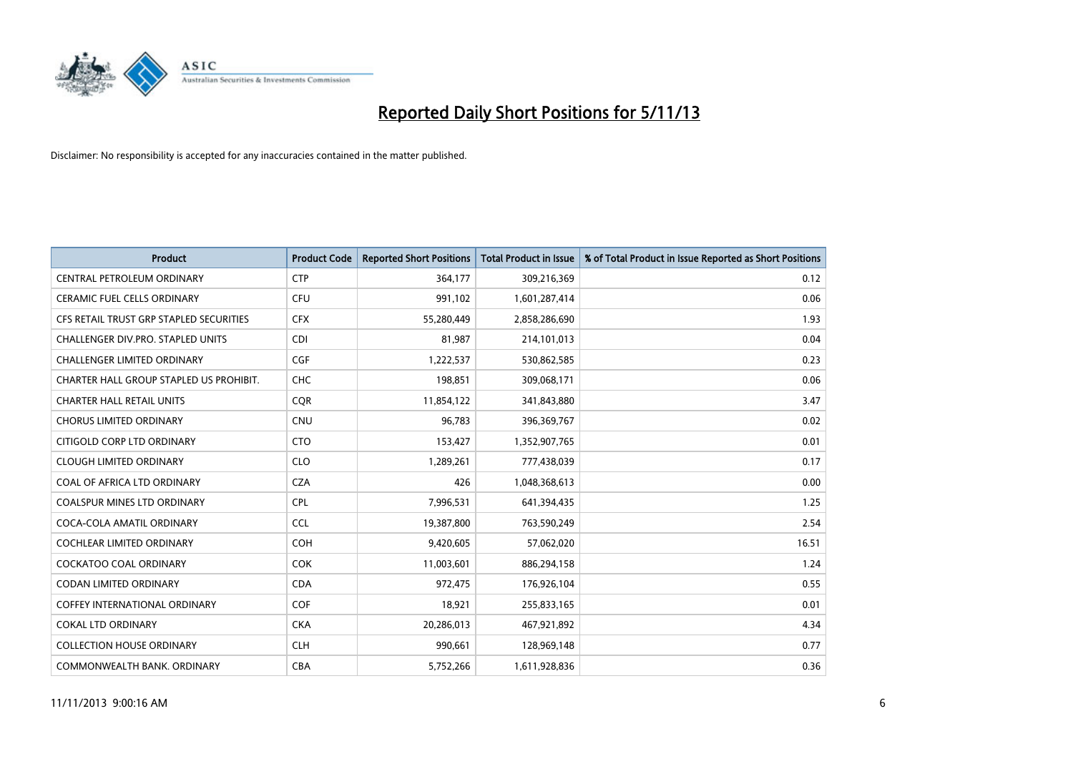

| <b>Product</b>                          | <b>Product Code</b> | <b>Reported Short Positions</b> | <b>Total Product in Issue</b> | % of Total Product in Issue Reported as Short Positions |
|-----------------------------------------|---------------------|---------------------------------|-------------------------------|---------------------------------------------------------|
| <b>CENTRAL PETROLEUM ORDINARY</b>       | <b>CTP</b>          | 364,177                         | 309,216,369                   | 0.12                                                    |
| <b>CERAMIC FUEL CELLS ORDINARY</b>      | <b>CFU</b>          | 991,102                         | 1,601,287,414                 | 0.06                                                    |
| CFS RETAIL TRUST GRP STAPLED SECURITIES | <b>CFX</b>          | 55,280,449                      | 2,858,286,690                 | 1.93                                                    |
| CHALLENGER DIV.PRO. STAPLED UNITS       | <b>CDI</b>          | 81,987                          | 214,101,013                   | 0.04                                                    |
| <b>CHALLENGER LIMITED ORDINARY</b>      | <b>CGF</b>          | 1,222,537                       | 530,862,585                   | 0.23                                                    |
| CHARTER HALL GROUP STAPLED US PROHIBIT. | <b>CHC</b>          | 198,851                         | 309,068,171                   | 0.06                                                    |
| <b>CHARTER HALL RETAIL UNITS</b>        | <b>CQR</b>          | 11,854,122                      | 341,843,880                   | 3.47                                                    |
| <b>CHORUS LIMITED ORDINARY</b>          | <b>CNU</b>          | 96,783                          | 396,369,767                   | 0.02                                                    |
| CITIGOLD CORP LTD ORDINARY              | <b>CTO</b>          | 153,427                         | 1,352,907,765                 | 0.01                                                    |
| <b>CLOUGH LIMITED ORDINARY</b>          | <b>CLO</b>          | 1,289,261                       | 777,438,039                   | 0.17                                                    |
| COAL OF AFRICA LTD ORDINARY             | <b>CZA</b>          | 426                             | 1,048,368,613                 | 0.00                                                    |
| <b>COALSPUR MINES LTD ORDINARY</b>      | <b>CPL</b>          | 7,996,531                       | 641,394,435                   | 1.25                                                    |
| COCA-COLA AMATIL ORDINARY               | <b>CCL</b>          | 19,387,800                      | 763,590,249                   | 2.54                                                    |
| <b>COCHLEAR LIMITED ORDINARY</b>        | <b>COH</b>          | 9,420,605                       | 57,062,020                    | 16.51                                                   |
| <b>COCKATOO COAL ORDINARY</b>           | <b>COK</b>          | 11,003,601                      | 886,294,158                   | 1.24                                                    |
| <b>CODAN LIMITED ORDINARY</b>           | <b>CDA</b>          | 972,475                         | 176,926,104                   | 0.55                                                    |
| <b>COFFEY INTERNATIONAL ORDINARY</b>    | <b>COF</b>          | 18,921                          | 255,833,165                   | 0.01                                                    |
| <b>COKAL LTD ORDINARY</b>               | <b>CKA</b>          | 20,286,013                      | 467,921,892                   | 4.34                                                    |
| <b>COLLECTION HOUSE ORDINARY</b>        | <b>CLH</b>          | 990,661                         | 128,969,148                   | 0.77                                                    |
| COMMONWEALTH BANK, ORDINARY             | <b>CBA</b>          | 5,752,266                       | 1,611,928,836                 | 0.36                                                    |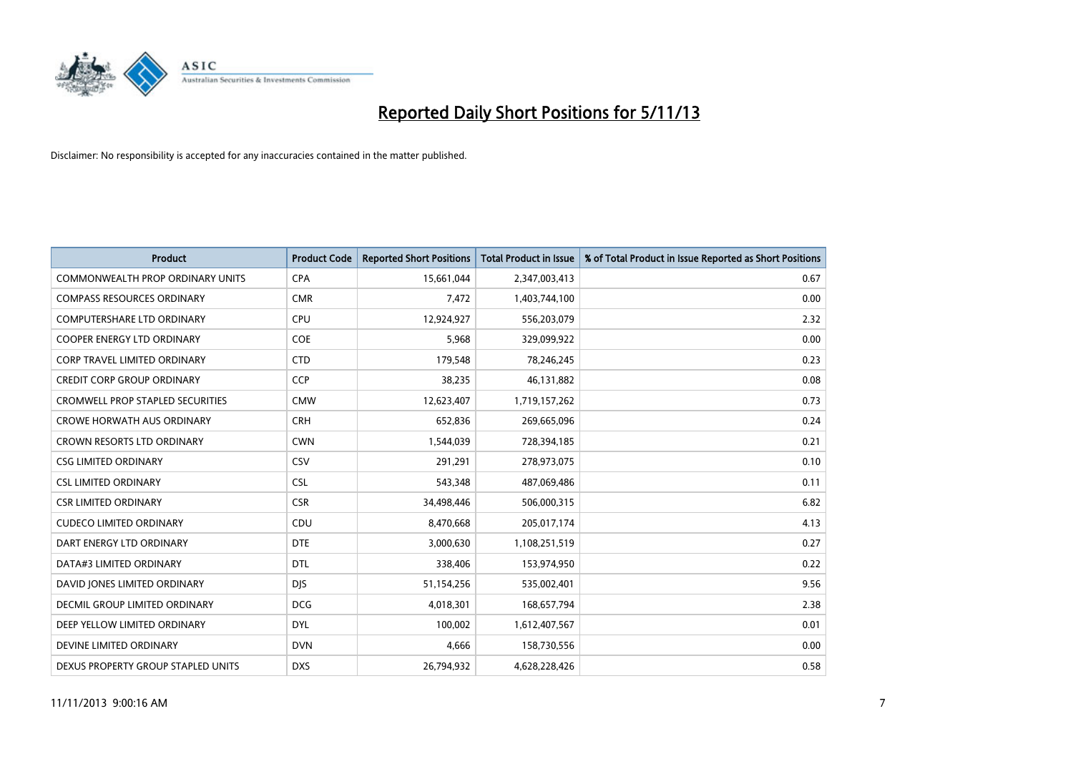

| <b>Product</b>                          | <b>Product Code</b> | <b>Reported Short Positions</b> | <b>Total Product in Issue</b> | % of Total Product in Issue Reported as Short Positions |
|-----------------------------------------|---------------------|---------------------------------|-------------------------------|---------------------------------------------------------|
| <b>COMMONWEALTH PROP ORDINARY UNITS</b> | <b>CPA</b>          | 15,661,044                      | 2,347,003,413                 | 0.67                                                    |
| <b>COMPASS RESOURCES ORDINARY</b>       | <b>CMR</b>          | 7,472                           | 1,403,744,100                 | 0.00                                                    |
| <b>COMPUTERSHARE LTD ORDINARY</b>       | <b>CPU</b>          | 12,924,927                      | 556,203,079                   | 2.32                                                    |
| COOPER ENERGY LTD ORDINARY              | <b>COE</b>          | 5,968                           | 329,099,922                   | 0.00                                                    |
| <b>CORP TRAVEL LIMITED ORDINARY</b>     | <b>CTD</b>          | 179,548                         | 78,246,245                    | 0.23                                                    |
| <b>CREDIT CORP GROUP ORDINARY</b>       | <b>CCP</b>          | 38,235                          | 46,131,882                    | 0.08                                                    |
| <b>CROMWELL PROP STAPLED SECURITIES</b> | <b>CMW</b>          | 12,623,407                      | 1,719,157,262                 | 0.73                                                    |
| <b>CROWE HORWATH AUS ORDINARY</b>       | <b>CRH</b>          | 652,836                         | 269,665,096                   | 0.24                                                    |
| CROWN RESORTS LTD ORDINARY              | <b>CWN</b>          | 1,544,039                       | 728,394,185                   | 0.21                                                    |
| <b>CSG LIMITED ORDINARY</b>             | CSV                 | 291,291                         | 278,973,075                   | 0.10                                                    |
| <b>CSL LIMITED ORDINARY</b>             | <b>CSL</b>          | 543,348                         | 487,069,486                   | 0.11                                                    |
| <b>CSR LIMITED ORDINARY</b>             | <b>CSR</b>          | 34,498,446                      | 506,000,315                   | 6.82                                                    |
| <b>CUDECO LIMITED ORDINARY</b>          | CDU                 | 8,470,668                       | 205,017,174                   | 4.13                                                    |
| DART ENERGY LTD ORDINARY                | <b>DTE</b>          | 3,000,630                       | 1,108,251,519                 | 0.27                                                    |
| DATA#3 LIMITED ORDINARY                 | <b>DTL</b>          | 338,406                         | 153,974,950                   | 0.22                                                    |
| DAVID JONES LIMITED ORDINARY            | <b>DJS</b>          | 51,154,256                      | 535,002,401                   | 9.56                                                    |
| <b>DECMIL GROUP LIMITED ORDINARY</b>    | <b>DCG</b>          | 4,018,301                       | 168,657,794                   | 2.38                                                    |
| DEEP YELLOW LIMITED ORDINARY            | <b>DYL</b>          | 100,002                         | 1,612,407,567                 | 0.01                                                    |
| DEVINE LIMITED ORDINARY                 | <b>DVN</b>          | 4,666                           | 158,730,556                   | 0.00                                                    |
| DEXUS PROPERTY GROUP STAPLED UNITS      | <b>DXS</b>          | 26,794,932                      | 4,628,228,426                 | 0.58                                                    |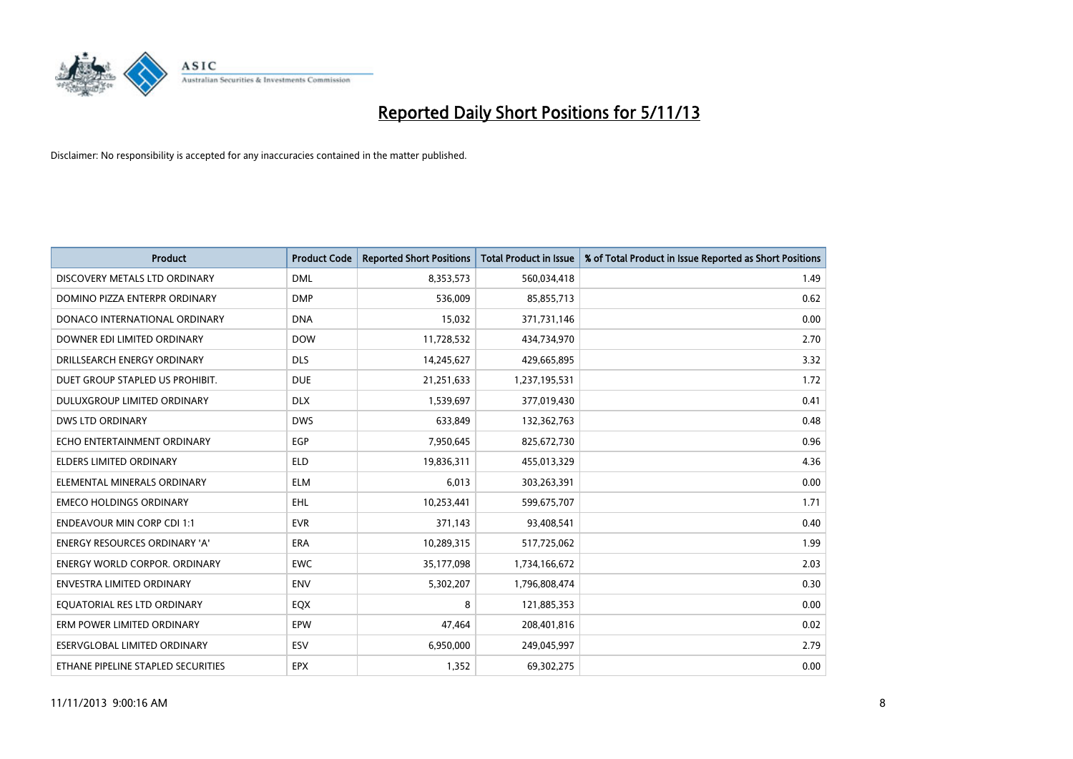

| <b>Product</b>                       | <b>Product Code</b> | <b>Reported Short Positions</b> | <b>Total Product in Issue</b> | % of Total Product in Issue Reported as Short Positions |
|--------------------------------------|---------------------|---------------------------------|-------------------------------|---------------------------------------------------------|
| DISCOVERY METALS LTD ORDINARY        | <b>DML</b>          | 8,353,573                       | 560,034,418                   | 1.49                                                    |
| DOMINO PIZZA ENTERPR ORDINARY        | <b>DMP</b>          | 536,009                         | 85,855,713                    | 0.62                                                    |
| DONACO INTERNATIONAL ORDINARY        | <b>DNA</b>          | 15,032                          | 371,731,146                   | 0.00                                                    |
| DOWNER EDI LIMITED ORDINARY          | <b>DOW</b>          | 11,728,532                      | 434,734,970                   | 2.70                                                    |
| DRILLSEARCH ENERGY ORDINARY          | <b>DLS</b>          | 14,245,627                      | 429,665,895                   | 3.32                                                    |
| DUET GROUP STAPLED US PROHIBIT.      | <b>DUE</b>          | 21,251,633                      | 1,237,195,531                 | 1.72                                                    |
| <b>DULUXGROUP LIMITED ORDINARY</b>   | <b>DLX</b>          | 1,539,697                       | 377,019,430                   | 0.41                                                    |
| DWS LTD ORDINARY                     | <b>DWS</b>          | 633,849                         | 132,362,763                   | 0.48                                                    |
| ECHO ENTERTAINMENT ORDINARY          | <b>EGP</b>          | 7,950,645                       | 825,672,730                   | 0.96                                                    |
| <b>ELDERS LIMITED ORDINARY</b>       | <b>ELD</b>          | 19,836,311                      | 455,013,329                   | 4.36                                                    |
| ELEMENTAL MINERALS ORDINARY          | <b>ELM</b>          | 6,013                           | 303,263,391                   | 0.00                                                    |
| <b>EMECO HOLDINGS ORDINARY</b>       | <b>EHL</b>          | 10,253,441                      | 599,675,707                   | 1.71                                                    |
| <b>ENDEAVOUR MIN CORP CDI 1:1</b>    | <b>EVR</b>          | 371,143                         | 93,408,541                    | 0.40                                                    |
| <b>ENERGY RESOURCES ORDINARY 'A'</b> | ERA                 | 10,289,315                      | 517,725,062                   | 1.99                                                    |
| <b>ENERGY WORLD CORPOR, ORDINARY</b> | <b>EWC</b>          | 35,177,098                      | 1,734,166,672                 | 2.03                                                    |
| ENVESTRA LIMITED ORDINARY            | ENV                 | 5,302,207                       | 1,796,808,474                 | 0.30                                                    |
| EQUATORIAL RES LTD ORDINARY          | EQX                 | 8                               | 121,885,353                   | 0.00                                                    |
| ERM POWER LIMITED ORDINARY           | <b>EPW</b>          | 47,464                          | 208,401,816                   | 0.02                                                    |
| ESERVGLOBAL LIMITED ORDINARY         | ESV                 | 6,950,000                       | 249,045,997                   | 2.79                                                    |
| ETHANE PIPELINE STAPLED SECURITIES   | <b>EPX</b>          | 1,352                           | 69,302,275                    | 0.00                                                    |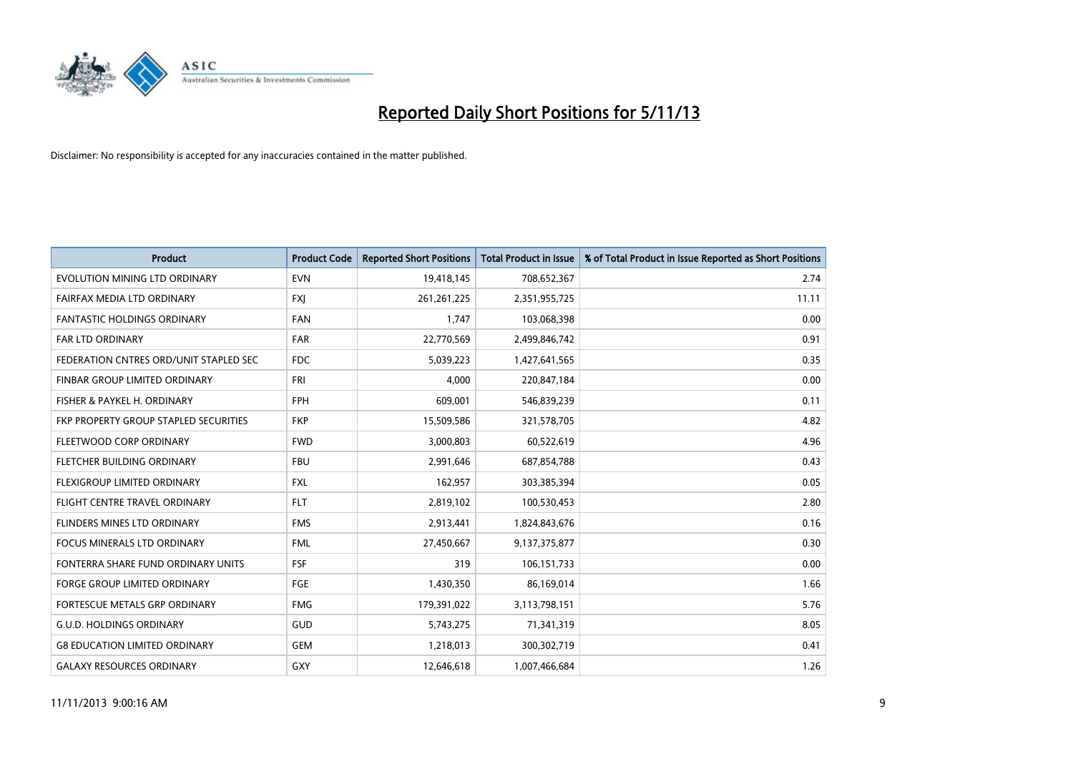

| <b>Product</b>                         | <b>Product Code</b> | <b>Reported Short Positions</b> | <b>Total Product in Issue</b> | % of Total Product in Issue Reported as Short Positions |
|----------------------------------------|---------------------|---------------------------------|-------------------------------|---------------------------------------------------------|
| EVOLUTION MINING LTD ORDINARY          | <b>EVN</b>          | 19,418,145                      | 708,652,367                   | 2.74                                                    |
| FAIRFAX MEDIA LTD ORDINARY             | <b>FXI</b>          | 261, 261, 225                   | 2,351,955,725                 | 11.11                                                   |
| <b>FANTASTIC HOLDINGS ORDINARY</b>     | <b>FAN</b>          | 1,747                           | 103,068,398                   | 0.00                                                    |
| FAR LTD ORDINARY                       | <b>FAR</b>          | 22,770,569                      | 2,499,846,742                 | 0.91                                                    |
| FEDERATION CNTRES ORD/UNIT STAPLED SEC | FDC                 | 5,039,223                       | 1,427,641,565                 | 0.35                                                    |
| FINBAR GROUP LIMITED ORDINARY          | <b>FRI</b>          | 4,000                           | 220,847,184                   | 0.00                                                    |
| FISHER & PAYKEL H. ORDINARY            | <b>FPH</b>          | 609.001                         | 546,839,239                   | 0.11                                                    |
| FKP PROPERTY GROUP STAPLED SECURITIES  | <b>FKP</b>          | 15,509,586                      | 321,578,705                   | 4.82                                                    |
| FLEETWOOD CORP ORDINARY                | <b>FWD</b>          | 3,000,803                       | 60,522,619                    | 4.96                                                    |
| FLETCHER BUILDING ORDINARY             | <b>FBU</b>          | 2,991,646                       | 687,854,788                   | 0.43                                                    |
| FLEXIGROUP LIMITED ORDINARY            | <b>FXL</b>          | 162,957                         | 303,385,394                   | 0.05                                                    |
| FLIGHT CENTRE TRAVEL ORDINARY          | <b>FLT</b>          | 2,819,102                       | 100,530,453                   | 2.80                                                    |
| FLINDERS MINES LTD ORDINARY            | <b>FMS</b>          | 2,913,441                       | 1,824,843,676                 | 0.16                                                    |
| <b>FOCUS MINERALS LTD ORDINARY</b>     | <b>FML</b>          | 27,450,667                      | 9,137,375,877                 | 0.30                                                    |
| FONTERRA SHARE FUND ORDINARY UNITS     | <b>FSF</b>          | 319                             | 106,151,733                   | 0.00                                                    |
| FORGE GROUP LIMITED ORDINARY           | FGE                 | 1,430,350                       | 86,169,014                    | 1.66                                                    |
| <b>FORTESCUE METALS GRP ORDINARY</b>   | <b>FMG</b>          | 179,391,022                     | 3,113,798,151                 | 5.76                                                    |
| <b>G.U.D. HOLDINGS ORDINARY</b>        | GUD                 | 5,743,275                       | 71,341,319                    | 8.05                                                    |
| <b>G8 EDUCATION LIMITED ORDINARY</b>   | <b>GEM</b>          | 1,218,013                       | 300,302,719                   | 0.41                                                    |
| <b>GALAXY RESOURCES ORDINARY</b>       | GXY                 | 12,646,618                      | 1,007,466,684                 | 1.26                                                    |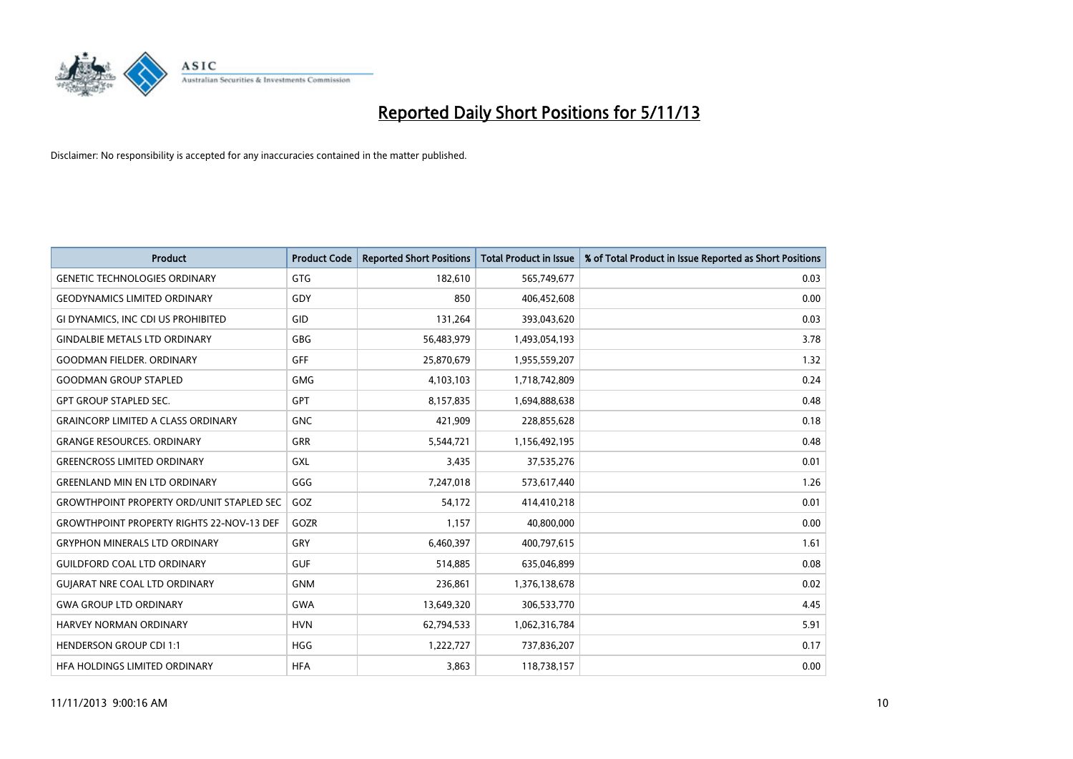

| <b>Product</b>                                   | <b>Product Code</b> | <b>Reported Short Positions</b> | <b>Total Product in Issue</b> | % of Total Product in Issue Reported as Short Positions |
|--------------------------------------------------|---------------------|---------------------------------|-------------------------------|---------------------------------------------------------|
| <b>GENETIC TECHNOLOGIES ORDINARY</b>             | <b>GTG</b>          | 182,610                         | 565,749,677                   | 0.03                                                    |
| <b>GEODYNAMICS LIMITED ORDINARY</b>              | GDY                 | 850                             | 406,452,608                   | 0.00                                                    |
| GI DYNAMICS, INC CDI US PROHIBITED               | GID                 | 131,264                         | 393,043,620                   | 0.03                                                    |
| <b>GINDALBIE METALS LTD ORDINARY</b>             | <b>GBG</b>          | 56,483,979                      | 1,493,054,193                 | 3.78                                                    |
| <b>GOODMAN FIELDER, ORDINARY</b>                 | GFF                 | 25,870,679                      | 1,955,559,207                 | 1.32                                                    |
| <b>GOODMAN GROUP STAPLED</b>                     | <b>GMG</b>          | 4,103,103                       | 1,718,742,809                 | 0.24                                                    |
| <b>GPT GROUP STAPLED SEC.</b>                    | <b>GPT</b>          | 8,157,835                       | 1,694,888,638                 | 0.48                                                    |
| <b>GRAINCORP LIMITED A CLASS ORDINARY</b>        | <b>GNC</b>          | 421,909                         | 228,855,628                   | 0.18                                                    |
| <b>GRANGE RESOURCES, ORDINARY</b>                | <b>GRR</b>          | 5,544,721                       | 1,156,492,195                 | 0.48                                                    |
| <b>GREENCROSS LIMITED ORDINARY</b>               | <b>GXL</b>          | 3,435                           | 37,535,276                    | 0.01                                                    |
| <b>GREENLAND MIN EN LTD ORDINARY</b>             | GGG                 | 7,247,018                       | 573,617,440                   | 1.26                                                    |
| <b>GROWTHPOINT PROPERTY ORD/UNIT STAPLED SEC</b> | GOZ                 | 54,172                          | 414,410,218                   | 0.01                                                    |
| <b>GROWTHPOINT PROPERTY RIGHTS 22-NOV-13 DEF</b> | GOZR                | 1,157                           | 40,800,000                    | 0.00                                                    |
| <b>GRYPHON MINERALS LTD ORDINARY</b>             | GRY                 | 6,460,397                       | 400,797,615                   | 1.61                                                    |
| <b>GUILDFORD COAL LTD ORDINARY</b>               | <b>GUF</b>          | 514,885                         | 635,046,899                   | 0.08                                                    |
| <b>GUIARAT NRE COAL LTD ORDINARY</b>             | <b>GNM</b>          | 236,861                         | 1,376,138,678                 | 0.02                                                    |
| <b>GWA GROUP LTD ORDINARY</b>                    | GWA                 | 13,649,320                      | 306,533,770                   | 4.45                                                    |
| <b>HARVEY NORMAN ORDINARY</b>                    | <b>HVN</b>          | 62,794,533                      | 1,062,316,784                 | 5.91                                                    |
| <b>HENDERSON GROUP CDI 1:1</b>                   | <b>HGG</b>          | 1,222,727                       | 737,836,207                   | 0.17                                                    |
| HFA HOLDINGS LIMITED ORDINARY                    | <b>HFA</b>          | 3,863                           | 118,738,157                   | 0.00                                                    |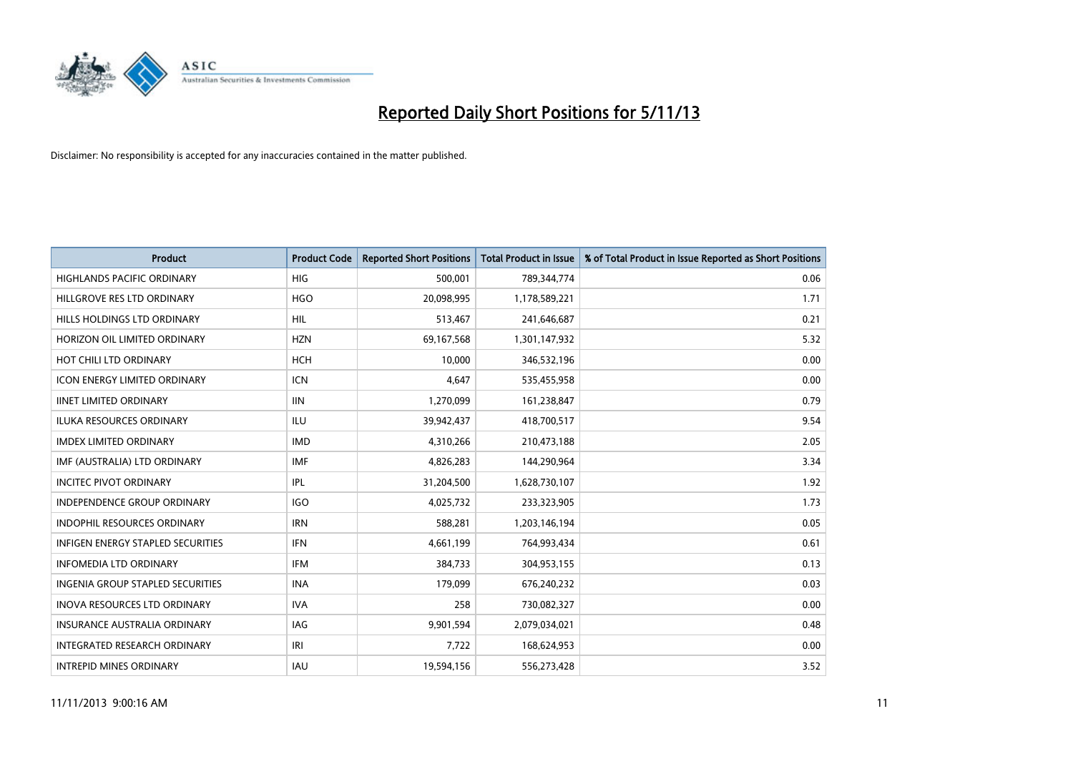

| <b>Product</b>                           | <b>Product Code</b> | <b>Reported Short Positions</b> | <b>Total Product in Issue</b> | % of Total Product in Issue Reported as Short Positions |
|------------------------------------------|---------------------|---------------------------------|-------------------------------|---------------------------------------------------------|
| <b>HIGHLANDS PACIFIC ORDINARY</b>        | <b>HIG</b>          | 500,001                         | 789,344,774                   | 0.06                                                    |
| HILLGROVE RES LTD ORDINARY               | <b>HGO</b>          | 20,098,995                      | 1,178,589,221                 | 1.71                                                    |
| HILLS HOLDINGS LTD ORDINARY              | <b>HIL</b>          | 513,467                         | 241,646,687                   | 0.21                                                    |
| HORIZON OIL LIMITED ORDINARY             | <b>HZN</b>          | 69,167,568                      | 1,301,147,932                 | 5.32                                                    |
| HOT CHILI LTD ORDINARY                   | <b>HCH</b>          | 10,000                          | 346,532,196                   | 0.00                                                    |
| <b>ICON ENERGY LIMITED ORDINARY</b>      | <b>ICN</b>          | 4,647                           | 535,455,958                   | 0.00                                                    |
| <b>IINET LIMITED ORDINARY</b>            | <b>IIN</b>          | 1,270,099                       | 161,238,847                   | 0.79                                                    |
| ILUKA RESOURCES ORDINARY                 | ILU                 | 39,942,437                      | 418,700,517                   | 9.54                                                    |
| <b>IMDEX LIMITED ORDINARY</b>            | <b>IMD</b>          | 4,310,266                       | 210,473,188                   | 2.05                                                    |
| IMF (AUSTRALIA) LTD ORDINARY             | <b>IMF</b>          | 4,826,283                       | 144,290,964                   | 3.34                                                    |
| <b>INCITEC PIVOT ORDINARY</b>            | IPL                 | 31,204,500                      | 1,628,730,107                 | 1.92                                                    |
| <b>INDEPENDENCE GROUP ORDINARY</b>       | <b>IGO</b>          | 4,025,732                       | 233,323,905                   | 1.73                                                    |
| INDOPHIL RESOURCES ORDINARY              | <b>IRN</b>          | 588,281                         | 1,203,146,194                 | 0.05                                                    |
| <b>INFIGEN ENERGY STAPLED SECURITIES</b> | <b>IFN</b>          | 4,661,199                       | 764,993,434                   | 0.61                                                    |
| <b>INFOMEDIA LTD ORDINARY</b>            | <b>IFM</b>          | 384,733                         | 304,953,155                   | 0.13                                                    |
| INGENIA GROUP STAPLED SECURITIES         | <b>INA</b>          | 179,099                         | 676,240,232                   | 0.03                                                    |
| <b>INOVA RESOURCES LTD ORDINARY</b>      | <b>IVA</b>          | 258                             | 730,082,327                   | 0.00                                                    |
| <b>INSURANCE AUSTRALIA ORDINARY</b>      | IAG                 | 9,901,594                       | 2,079,034,021                 | 0.48                                                    |
| INTEGRATED RESEARCH ORDINARY             | IRI                 | 7,722                           | 168,624,953                   | 0.00                                                    |
| <b>INTREPID MINES ORDINARY</b>           | <b>IAU</b>          | 19,594,156                      | 556,273,428                   | 3.52                                                    |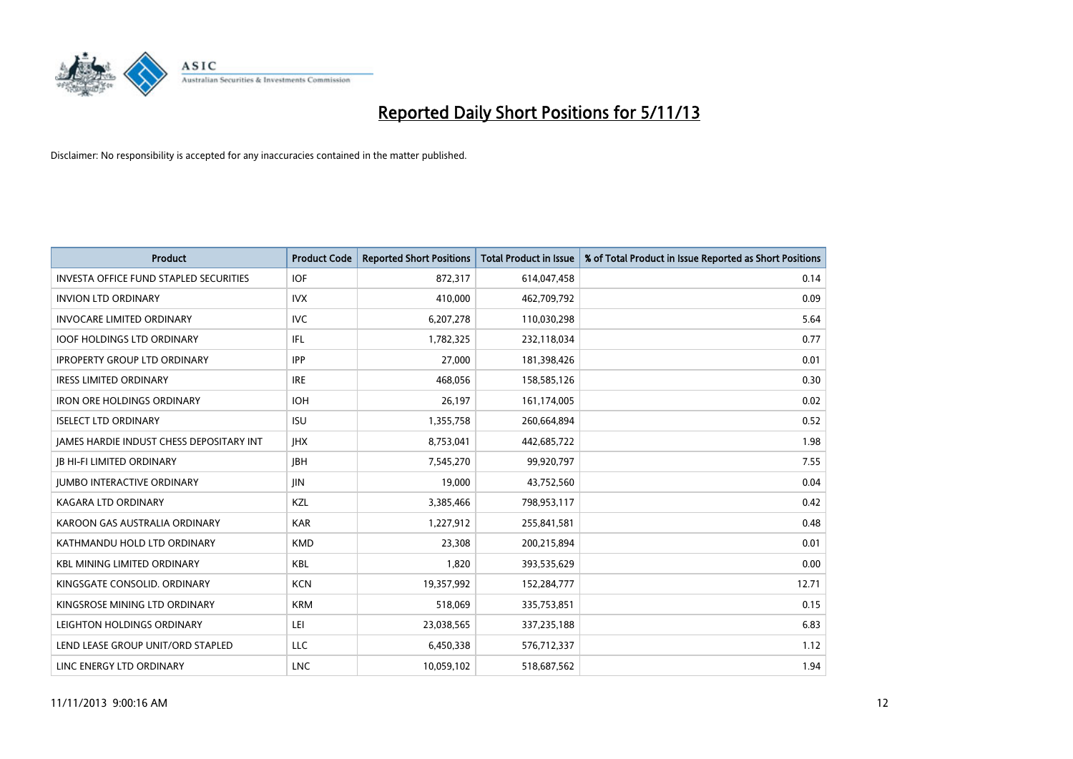

| <b>Product</b>                                | <b>Product Code</b> | <b>Reported Short Positions</b> | <b>Total Product in Issue</b> | % of Total Product in Issue Reported as Short Positions |
|-----------------------------------------------|---------------------|---------------------------------|-------------------------------|---------------------------------------------------------|
| <b>INVESTA OFFICE FUND STAPLED SECURITIES</b> | <b>IOF</b>          | 872,317                         | 614,047,458                   | 0.14                                                    |
| <b>INVION LTD ORDINARY</b>                    | <b>IVX</b>          | 410,000                         | 462,709,792                   | 0.09                                                    |
| <b>INVOCARE LIMITED ORDINARY</b>              | <b>IVC</b>          | 6,207,278                       | 110,030,298                   | 5.64                                                    |
| <b>IOOF HOLDINGS LTD ORDINARY</b>             | IFL                 | 1,782,325                       | 232,118,034                   | 0.77                                                    |
| <b>IPROPERTY GROUP LTD ORDINARY</b>           | <b>IPP</b>          | 27,000                          | 181,398,426                   | 0.01                                                    |
| <b>IRESS LIMITED ORDINARY</b>                 | <b>IRE</b>          | 468,056                         | 158,585,126                   | 0.30                                                    |
| <b>IRON ORE HOLDINGS ORDINARY</b>             | <b>IOH</b>          | 26,197                          | 161,174,005                   | 0.02                                                    |
| <b>ISELECT LTD ORDINARY</b>                   | <b>ISU</b>          | 1,355,758                       | 260,664,894                   | 0.52                                                    |
| JAMES HARDIE INDUST CHESS DEPOSITARY INT      | <b>IHX</b>          | 8,753,041                       | 442,685,722                   | 1.98                                                    |
| <b>JB HI-FI LIMITED ORDINARY</b>              | <b>JBH</b>          | 7,545,270                       | 99,920,797                    | 7.55                                                    |
| JUMBO INTERACTIVE ORDINARY                    | <b>JIN</b>          | 19,000                          | 43,752,560                    | 0.04                                                    |
| <b>KAGARA LTD ORDINARY</b>                    | KZL                 | 3,385,466                       | 798,953,117                   | 0.42                                                    |
| KAROON GAS AUSTRALIA ORDINARY                 | <b>KAR</b>          | 1,227,912                       | 255,841,581                   | 0.48                                                    |
| KATHMANDU HOLD LTD ORDINARY                   | <b>KMD</b>          | 23,308                          | 200,215,894                   | 0.01                                                    |
| <b>KBL MINING LIMITED ORDINARY</b>            | <b>KBL</b>          | 1,820                           | 393,535,629                   | 0.00                                                    |
| KINGSGATE CONSOLID. ORDINARY                  | <b>KCN</b>          | 19,357,992                      | 152,284,777                   | 12.71                                                   |
| KINGSROSE MINING LTD ORDINARY                 | <b>KRM</b>          | 518,069                         | 335,753,851                   | 0.15                                                    |
| LEIGHTON HOLDINGS ORDINARY                    | LEI                 | 23,038,565                      | 337,235,188                   | 6.83                                                    |
| LEND LEASE GROUP UNIT/ORD STAPLED             | LLC                 | 6,450,338                       | 576,712,337                   | 1.12                                                    |
| LINC ENERGY LTD ORDINARY                      | <b>LNC</b>          | 10,059,102                      | 518,687,562                   | 1.94                                                    |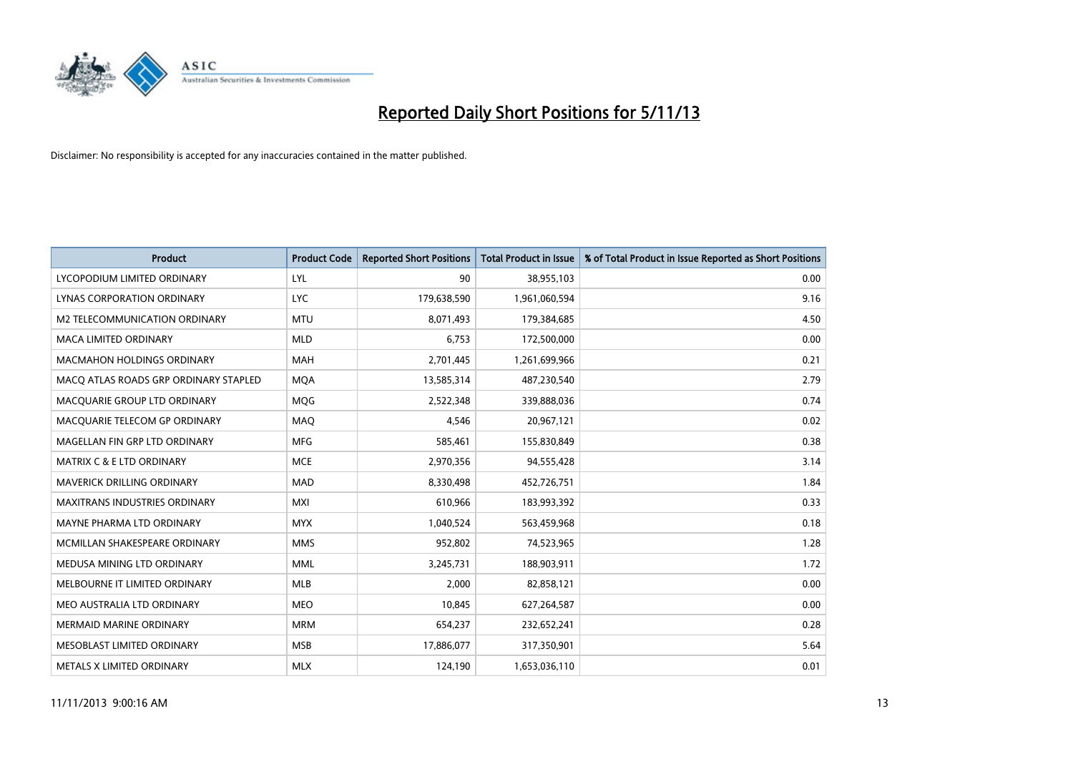

| <b>Product</b>                        | <b>Product Code</b> | <b>Reported Short Positions</b> | <b>Total Product in Issue</b> | % of Total Product in Issue Reported as Short Positions |
|---------------------------------------|---------------------|---------------------------------|-------------------------------|---------------------------------------------------------|
| LYCOPODIUM LIMITED ORDINARY           | LYL                 | 90                              | 38,955,103                    | 0.00                                                    |
| LYNAS CORPORATION ORDINARY            | <b>LYC</b>          | 179,638,590                     | 1,961,060,594                 | 9.16                                                    |
| M2 TELECOMMUNICATION ORDINARY         | <b>MTU</b>          | 8,071,493                       | 179,384,685                   | 4.50                                                    |
| <b>MACA LIMITED ORDINARY</b>          | <b>MLD</b>          | 6,753                           | 172,500,000                   | 0.00                                                    |
| <b>MACMAHON HOLDINGS ORDINARY</b>     | <b>MAH</b>          | 2,701,445                       | 1,261,699,966                 | 0.21                                                    |
| MACO ATLAS ROADS GRP ORDINARY STAPLED | <b>MQA</b>          | 13,585,314                      | 487,230,540                   | 2.79                                                    |
| MACQUARIE GROUP LTD ORDINARY          | <b>MOG</b>          | 2,522,348                       | 339,888,036                   | 0.74                                                    |
| MACQUARIE TELECOM GP ORDINARY         | <b>MAQ</b>          | 4,546                           | 20,967,121                    | 0.02                                                    |
| MAGELLAN FIN GRP LTD ORDINARY         | <b>MFG</b>          | 585,461                         | 155,830,849                   | 0.38                                                    |
| <b>MATRIX C &amp; E LTD ORDINARY</b>  | <b>MCE</b>          | 2,970,356                       | 94,555,428                    | 3.14                                                    |
| MAVERICK DRILLING ORDINARY            | <b>MAD</b>          | 8,330,498                       | 452,726,751                   | 1.84                                                    |
| <b>MAXITRANS INDUSTRIES ORDINARY</b>  | <b>MXI</b>          | 610,966                         | 183,993,392                   | 0.33                                                    |
| MAYNE PHARMA LTD ORDINARY             | <b>MYX</b>          | 1,040,524                       | 563,459,968                   | 0.18                                                    |
| MCMILLAN SHAKESPEARE ORDINARY         | <b>MMS</b>          | 952,802                         | 74,523,965                    | 1.28                                                    |
| MEDUSA MINING LTD ORDINARY            | <b>MML</b>          | 3,245,731                       | 188,903,911                   | 1.72                                                    |
| MELBOURNE IT LIMITED ORDINARY         | MLB                 | 2,000                           | 82,858,121                    | 0.00                                                    |
| MEO AUSTRALIA LTD ORDINARY            | <b>MEO</b>          | 10,845                          | 627,264,587                   | 0.00                                                    |
| <b>MERMAID MARINE ORDINARY</b>        | <b>MRM</b>          | 654,237                         | 232,652,241                   | 0.28                                                    |
| MESOBLAST LIMITED ORDINARY            | <b>MSB</b>          | 17,886,077                      | 317,350,901                   | 5.64                                                    |
| METALS X LIMITED ORDINARY             | <b>MLX</b>          | 124,190                         | 1,653,036,110                 | 0.01                                                    |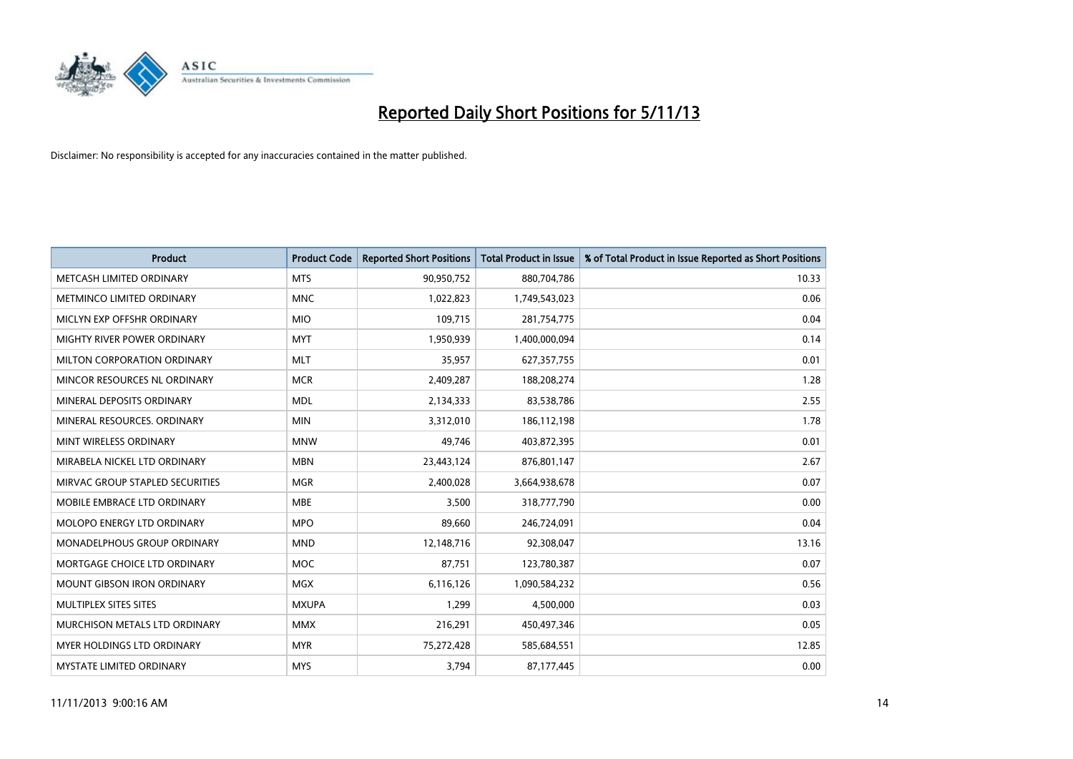

| <b>Product</b>                  | <b>Product Code</b> | <b>Reported Short Positions</b> | <b>Total Product in Issue</b> | % of Total Product in Issue Reported as Short Positions |
|---------------------------------|---------------------|---------------------------------|-------------------------------|---------------------------------------------------------|
| METCASH LIMITED ORDINARY        | <b>MTS</b>          | 90,950,752                      | 880,704,786                   | 10.33                                                   |
| METMINCO LIMITED ORDINARY       | <b>MNC</b>          | 1,022,823                       | 1,749,543,023                 | 0.06                                                    |
| MICLYN EXP OFFSHR ORDINARY      | <b>MIO</b>          | 109,715                         | 281,754,775                   | 0.04                                                    |
| MIGHTY RIVER POWER ORDINARY     | <b>MYT</b>          | 1,950,939                       | 1,400,000,094                 | 0.14                                                    |
| MILTON CORPORATION ORDINARY     | <b>MLT</b>          | 35,957                          | 627,357,755                   | 0.01                                                    |
| MINCOR RESOURCES NL ORDINARY    | <b>MCR</b>          | 2,409,287                       | 188,208,274                   | 1.28                                                    |
| MINERAL DEPOSITS ORDINARY       | <b>MDL</b>          | 2,134,333                       | 83,538,786                    | 2.55                                                    |
| MINERAL RESOURCES. ORDINARY     | <b>MIN</b>          | 3,312,010                       | 186,112,198                   | 1.78                                                    |
| MINT WIRELESS ORDINARY          | <b>MNW</b>          | 49.746                          | 403,872,395                   | 0.01                                                    |
| MIRABELA NICKEL LTD ORDINARY    | <b>MBN</b>          | 23,443,124                      | 876,801,147                   | 2.67                                                    |
| MIRVAC GROUP STAPLED SECURITIES | <b>MGR</b>          | 2,400,028                       | 3,664,938,678                 | 0.07                                                    |
| MOBILE EMBRACE LTD ORDINARY     | <b>MBE</b>          | 3,500                           | 318,777,790                   | 0.00                                                    |
| MOLOPO ENERGY LTD ORDINARY      | <b>MPO</b>          | 89,660                          | 246,724,091                   | 0.04                                                    |
| MONADELPHOUS GROUP ORDINARY     | <b>MND</b>          | 12,148,716                      | 92,308,047                    | 13.16                                                   |
| MORTGAGE CHOICE LTD ORDINARY    | <b>MOC</b>          | 87,751                          | 123,780,387                   | 0.07                                                    |
| MOUNT GIBSON IRON ORDINARY      | <b>MGX</b>          | 6,116,126                       | 1,090,584,232                 | 0.56                                                    |
| MULTIPLEX SITES SITES           | <b>MXUPA</b>        | 1,299                           | 4,500,000                     | 0.03                                                    |
| MURCHISON METALS LTD ORDINARY   | <b>MMX</b>          | 216,291                         | 450,497,346                   | 0.05                                                    |
| MYER HOLDINGS LTD ORDINARY      | <b>MYR</b>          | 75,272,428                      | 585,684,551                   | 12.85                                                   |
| MYSTATE LIMITED ORDINARY        | <b>MYS</b>          | 3,794                           | 87,177,445                    | 0.00                                                    |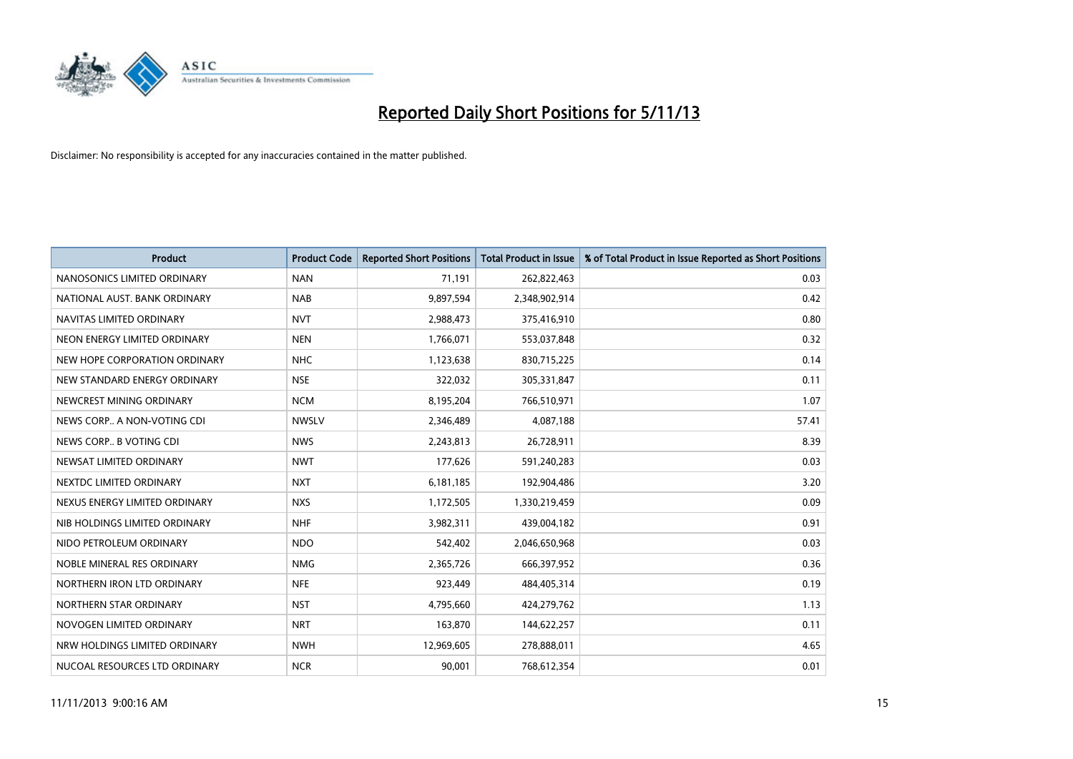

| <b>Product</b>                | <b>Product Code</b> | <b>Reported Short Positions</b> | <b>Total Product in Issue</b> | % of Total Product in Issue Reported as Short Positions |
|-------------------------------|---------------------|---------------------------------|-------------------------------|---------------------------------------------------------|
| NANOSONICS LIMITED ORDINARY   | <b>NAN</b>          | 71,191                          | 262,822,463                   | 0.03                                                    |
| NATIONAL AUST. BANK ORDINARY  | <b>NAB</b>          | 9,897,594                       | 2,348,902,914                 | 0.42                                                    |
| NAVITAS LIMITED ORDINARY      | <b>NVT</b>          | 2,988,473                       | 375,416,910                   | 0.80                                                    |
| NEON ENERGY LIMITED ORDINARY  | <b>NEN</b>          | 1,766,071                       | 553,037,848                   | 0.32                                                    |
| NEW HOPE CORPORATION ORDINARY | <b>NHC</b>          | 1,123,638                       | 830,715,225                   | 0.14                                                    |
| NEW STANDARD ENERGY ORDINARY  | <b>NSE</b>          | 322,032                         | 305,331,847                   | 0.11                                                    |
| NEWCREST MINING ORDINARY      | <b>NCM</b>          | 8,195,204                       | 766,510,971                   | 1.07                                                    |
| NEWS CORP A NON-VOTING CDI    | <b>NWSLV</b>        | 2,346,489                       | 4,087,188                     | 57.41                                                   |
| NEWS CORP B VOTING CDI        | <b>NWS</b>          | 2,243,813                       | 26,728,911                    | 8.39                                                    |
| NEWSAT LIMITED ORDINARY       | <b>NWT</b>          | 177,626                         | 591,240,283                   | 0.03                                                    |
| NEXTDC LIMITED ORDINARY       | <b>NXT</b>          | 6,181,185                       | 192,904,486                   | 3.20                                                    |
| NEXUS ENERGY LIMITED ORDINARY | <b>NXS</b>          | 1,172,505                       | 1,330,219,459                 | 0.09                                                    |
| NIB HOLDINGS LIMITED ORDINARY | <b>NHF</b>          | 3,982,311                       | 439,004,182                   | 0.91                                                    |
| NIDO PETROLEUM ORDINARY       | <b>NDO</b>          | 542,402                         | 2,046,650,968                 | 0.03                                                    |
| NOBLE MINERAL RES ORDINARY    | <b>NMG</b>          | 2,365,726                       | 666,397,952                   | 0.36                                                    |
| NORTHERN IRON LTD ORDINARY    | <b>NFE</b>          | 923,449                         | 484,405,314                   | 0.19                                                    |
| NORTHERN STAR ORDINARY        | <b>NST</b>          | 4,795,660                       | 424,279,762                   | 1.13                                                    |
| NOVOGEN LIMITED ORDINARY      | <b>NRT</b>          | 163,870                         | 144,622,257                   | 0.11                                                    |
| NRW HOLDINGS LIMITED ORDINARY | <b>NWH</b>          | 12,969,605                      | 278,888,011                   | 4.65                                                    |
| NUCOAL RESOURCES LTD ORDINARY | <b>NCR</b>          | 90,001                          | 768,612,354                   | 0.01                                                    |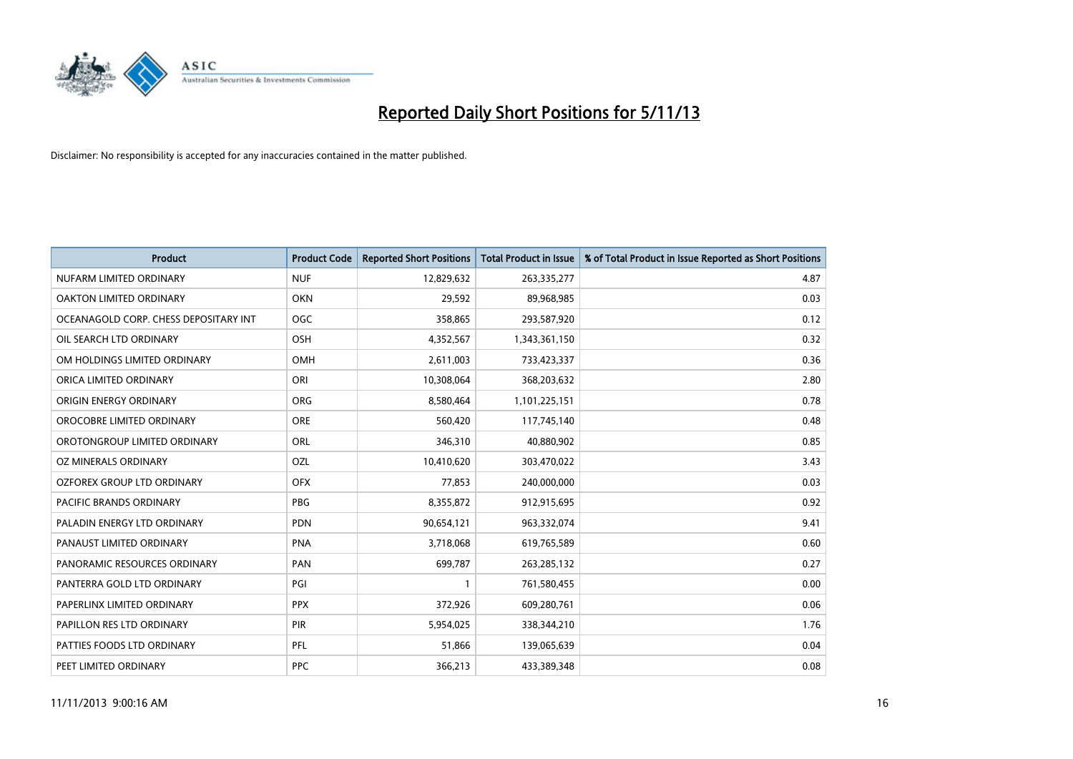

| <b>Product</b>                        | <b>Product Code</b> | <b>Reported Short Positions</b> | <b>Total Product in Issue</b> | % of Total Product in Issue Reported as Short Positions |
|---------------------------------------|---------------------|---------------------------------|-------------------------------|---------------------------------------------------------|
| NUFARM LIMITED ORDINARY               | <b>NUF</b>          | 12,829,632                      | 263,335,277                   | 4.87                                                    |
| OAKTON LIMITED ORDINARY               | <b>OKN</b>          | 29,592                          | 89,968,985                    | 0.03                                                    |
| OCEANAGOLD CORP. CHESS DEPOSITARY INT | <b>OGC</b>          | 358,865                         | 293,587,920                   | 0.12                                                    |
| OIL SEARCH LTD ORDINARY               | OSH                 | 4,352,567                       | 1,343,361,150                 | 0.32                                                    |
| OM HOLDINGS LIMITED ORDINARY          | OMH                 | 2,611,003                       | 733,423,337                   | 0.36                                                    |
| ORICA LIMITED ORDINARY                | ORI                 | 10,308,064                      | 368,203,632                   | 2.80                                                    |
| ORIGIN ENERGY ORDINARY                | <b>ORG</b>          | 8,580,464                       | 1,101,225,151                 | 0.78                                                    |
| OROCOBRE LIMITED ORDINARY             | <b>ORE</b>          | 560,420                         | 117,745,140                   | 0.48                                                    |
| OROTONGROUP LIMITED ORDINARY          | ORL                 | 346,310                         | 40,880,902                    | 0.85                                                    |
| <b>OZ MINERALS ORDINARY</b>           | <b>OZL</b>          | 10,410,620                      | 303,470,022                   | 3.43                                                    |
| OZFOREX GROUP LTD ORDINARY            | <b>OFX</b>          | 77,853                          | 240,000,000                   | 0.03                                                    |
| PACIFIC BRANDS ORDINARY               | <b>PBG</b>          | 8,355,872                       | 912,915,695                   | 0.92                                                    |
| PALADIN ENERGY LTD ORDINARY           | <b>PDN</b>          | 90,654,121                      | 963,332,074                   | 9.41                                                    |
| PANAUST LIMITED ORDINARY              | <b>PNA</b>          | 3,718,068                       | 619,765,589                   | 0.60                                                    |
| PANORAMIC RESOURCES ORDINARY          | PAN                 | 699,787                         | 263,285,132                   | 0.27                                                    |
| PANTERRA GOLD LTD ORDINARY            | PGI                 |                                 | 761,580,455                   | 0.00                                                    |
| PAPERLINX LIMITED ORDINARY            | <b>PPX</b>          | 372,926                         | 609,280,761                   | 0.06                                                    |
| PAPILLON RES LTD ORDINARY             | <b>PIR</b>          | 5,954,025                       | 338,344,210                   | 1.76                                                    |
| PATTIES FOODS LTD ORDINARY            | PFL                 | 51,866                          | 139,065,639                   | 0.04                                                    |
| PEET LIMITED ORDINARY                 | <b>PPC</b>          | 366,213                         | 433,389,348                   | 0.08                                                    |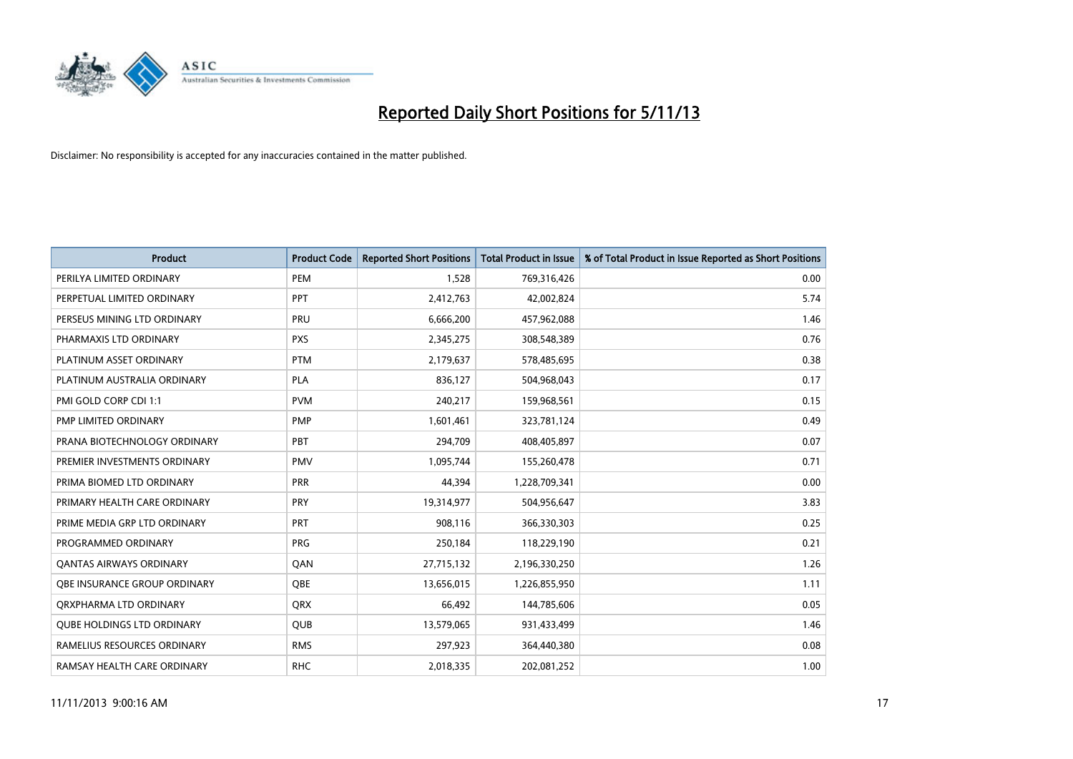

| <b>Product</b>                    | <b>Product Code</b> | <b>Reported Short Positions</b> | <b>Total Product in Issue</b> | % of Total Product in Issue Reported as Short Positions |
|-----------------------------------|---------------------|---------------------------------|-------------------------------|---------------------------------------------------------|
| PERILYA LIMITED ORDINARY          | PEM                 | 1,528                           | 769,316,426                   | 0.00                                                    |
| PERPETUAL LIMITED ORDINARY        | <b>PPT</b>          | 2,412,763                       | 42,002,824                    | 5.74                                                    |
| PERSEUS MINING LTD ORDINARY       | <b>PRU</b>          | 6,666,200                       | 457,962,088                   | 1.46                                                    |
| PHARMAXIS LTD ORDINARY            | <b>PXS</b>          | 2,345,275                       | 308,548,389                   | 0.76                                                    |
| PLATINUM ASSET ORDINARY           | <b>PTM</b>          | 2,179,637                       | 578,485,695                   | 0.38                                                    |
| PLATINUM AUSTRALIA ORDINARY       | <b>PLA</b>          | 836,127                         | 504,968,043                   | 0.17                                                    |
| PMI GOLD CORP CDI 1:1             | <b>PVM</b>          | 240,217                         | 159,968,561                   | 0.15                                                    |
| PMP LIMITED ORDINARY              | <b>PMP</b>          | 1,601,461                       | 323,781,124                   | 0.49                                                    |
| PRANA BIOTECHNOLOGY ORDINARY      | PBT                 | 294,709                         | 408,405,897                   | 0.07                                                    |
| PREMIER INVESTMENTS ORDINARY      | <b>PMV</b>          | 1,095,744                       | 155,260,478                   | 0.71                                                    |
| PRIMA BIOMED LTD ORDINARY         | <b>PRR</b>          | 44,394                          | 1,228,709,341                 | 0.00                                                    |
| PRIMARY HEALTH CARE ORDINARY      | <b>PRY</b>          | 19,314,977                      | 504,956,647                   | 3.83                                                    |
| PRIME MEDIA GRP LTD ORDINARY      | <b>PRT</b>          | 908,116                         | 366,330,303                   | 0.25                                                    |
| PROGRAMMED ORDINARY               | <b>PRG</b>          | 250,184                         | 118,229,190                   | 0.21                                                    |
| <b>QANTAS AIRWAYS ORDINARY</b>    | QAN                 | 27,715,132                      | 2,196,330,250                 | 1.26                                                    |
| OBE INSURANCE GROUP ORDINARY      | <b>OBE</b>          | 13,656,015                      | 1,226,855,950                 | 1.11                                                    |
| ORXPHARMA LTD ORDINARY            | <b>QRX</b>          | 66,492                          | 144,785,606                   | 0.05                                                    |
| <b>QUBE HOLDINGS LTD ORDINARY</b> | QUB                 | 13,579,065                      | 931,433,499                   | 1.46                                                    |
| RAMELIUS RESOURCES ORDINARY       | <b>RMS</b>          | 297,923                         | 364,440,380                   | 0.08                                                    |
| RAMSAY HEALTH CARE ORDINARY       | <b>RHC</b>          | 2,018,335                       | 202,081,252                   | 1.00                                                    |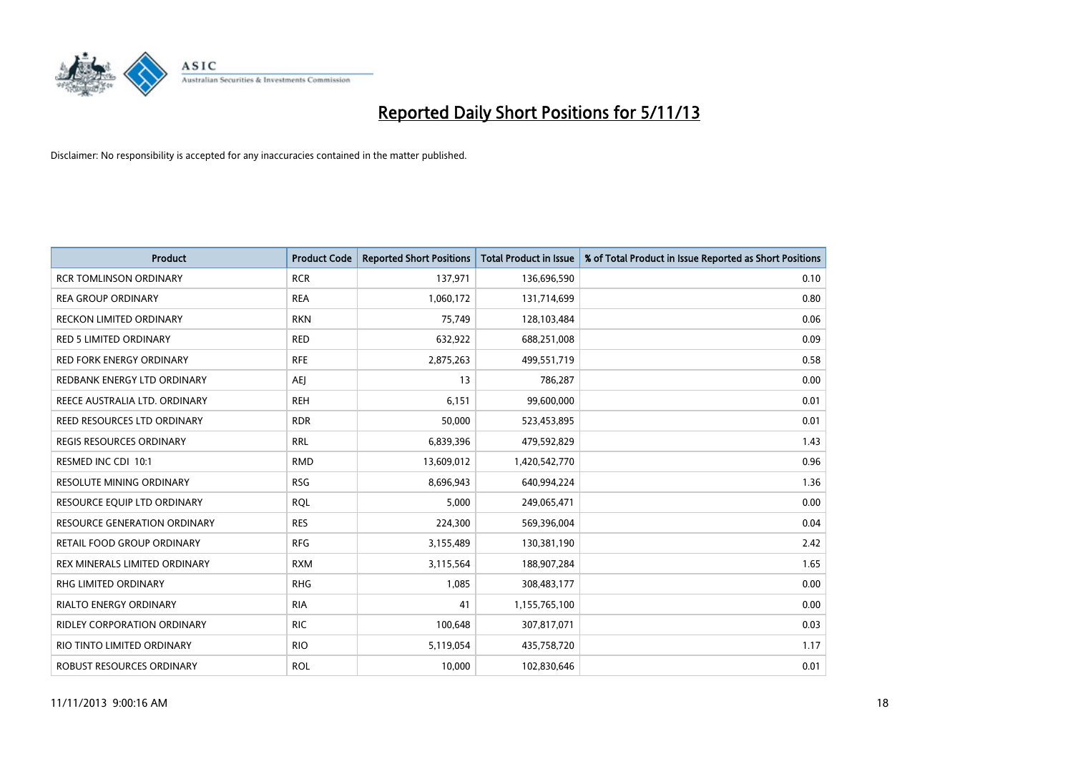

| <b>Product</b>                  | <b>Product Code</b> | <b>Reported Short Positions</b> | <b>Total Product in Issue</b> | % of Total Product in Issue Reported as Short Positions |
|---------------------------------|---------------------|---------------------------------|-------------------------------|---------------------------------------------------------|
| <b>RCR TOMLINSON ORDINARY</b>   | <b>RCR</b>          | 137,971                         | 136,696,590                   | 0.10                                                    |
| <b>REA GROUP ORDINARY</b>       | <b>REA</b>          | 1,060,172                       | 131,714,699                   | 0.80                                                    |
| <b>RECKON LIMITED ORDINARY</b>  | <b>RKN</b>          | 75,749                          | 128,103,484                   | 0.06                                                    |
| <b>RED 5 LIMITED ORDINARY</b>   | <b>RED</b>          | 632,922                         | 688,251,008                   | 0.09                                                    |
| <b>RED FORK ENERGY ORDINARY</b> | <b>RFE</b>          | 2,875,263                       | 499,551,719                   | 0.58                                                    |
| REDBANK ENERGY LTD ORDINARY     | <b>AEJ</b>          | 13                              | 786,287                       | 0.00                                                    |
| REECE AUSTRALIA LTD. ORDINARY   | <b>REH</b>          | 6,151                           | 99,600,000                    | 0.01                                                    |
| REED RESOURCES LTD ORDINARY     | <b>RDR</b>          | 50,000                          | 523,453,895                   | 0.01                                                    |
| <b>REGIS RESOURCES ORDINARY</b> | <b>RRL</b>          | 6,839,396                       | 479,592,829                   | 1.43                                                    |
| RESMED INC CDI 10:1             | <b>RMD</b>          | 13,609,012                      | 1,420,542,770                 | 0.96                                                    |
| RESOLUTE MINING ORDINARY        | <b>RSG</b>          | 8,696,943                       | 640,994,224                   | 1.36                                                    |
| RESOURCE EQUIP LTD ORDINARY     | <b>RQL</b>          | 5,000                           | 249,065,471                   | 0.00                                                    |
| RESOURCE GENERATION ORDINARY    | <b>RES</b>          | 224,300                         | 569,396,004                   | 0.04                                                    |
| RETAIL FOOD GROUP ORDINARY      | <b>RFG</b>          | 3,155,489                       | 130,381,190                   | 2.42                                                    |
| REX MINERALS LIMITED ORDINARY   | <b>RXM</b>          | 3,115,564                       | 188,907,284                   | 1.65                                                    |
| RHG LIMITED ORDINARY            | <b>RHG</b>          | 1,085                           | 308,483,177                   | 0.00                                                    |
| RIALTO ENERGY ORDINARY          | <b>RIA</b>          | 41                              | 1,155,765,100                 | 0.00                                                    |
| RIDLEY CORPORATION ORDINARY     | <b>RIC</b>          | 100,648                         | 307,817,071                   | 0.03                                                    |
| RIO TINTO LIMITED ORDINARY      | <b>RIO</b>          | 5,119,054                       | 435,758,720                   | 1.17                                                    |
| ROBUST RESOURCES ORDINARY       | <b>ROL</b>          | 10,000                          | 102,830,646                   | 0.01                                                    |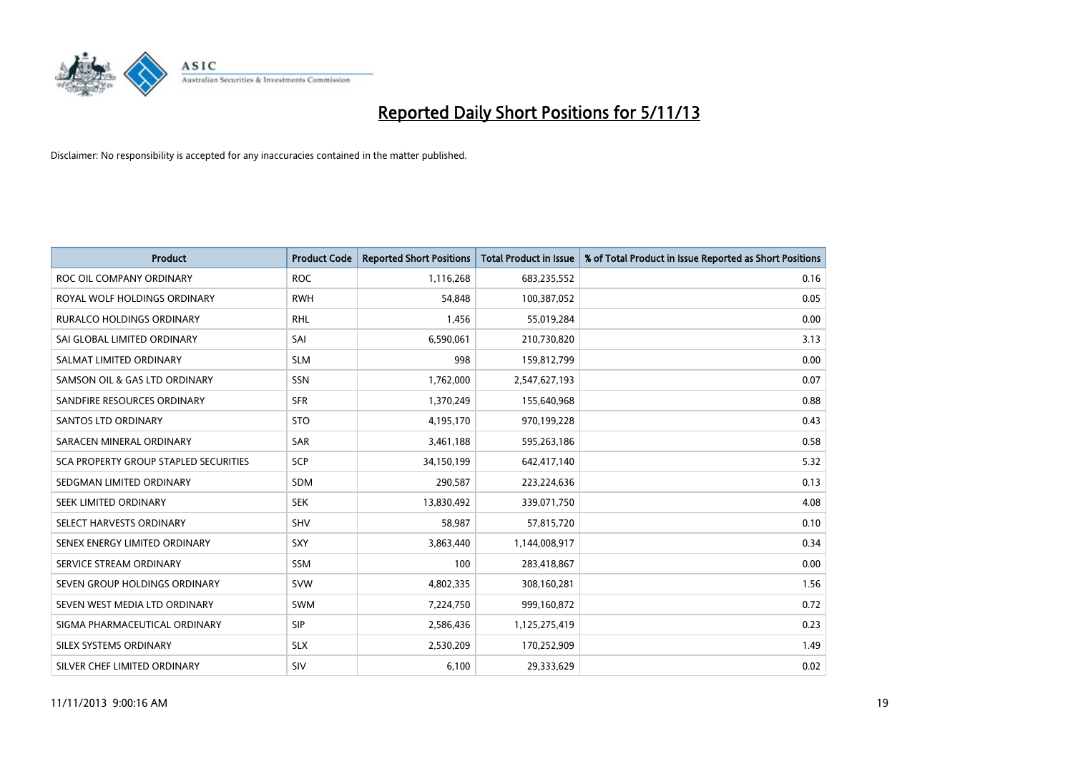

| <b>Product</b>                        | <b>Product Code</b> | <b>Reported Short Positions</b> | <b>Total Product in Issue</b> | % of Total Product in Issue Reported as Short Positions |
|---------------------------------------|---------------------|---------------------------------|-------------------------------|---------------------------------------------------------|
| ROC OIL COMPANY ORDINARY              | <b>ROC</b>          | 1,116,268                       | 683,235,552                   | 0.16                                                    |
| ROYAL WOLF HOLDINGS ORDINARY          | <b>RWH</b>          | 54,848                          | 100,387,052                   | 0.05                                                    |
| <b>RURALCO HOLDINGS ORDINARY</b>      | <b>RHL</b>          | 1,456                           | 55,019,284                    | 0.00                                                    |
| SAI GLOBAL LIMITED ORDINARY           | SAI                 | 6,590,061                       | 210,730,820                   | 3.13                                                    |
| SALMAT LIMITED ORDINARY               | <b>SLM</b>          | 998                             | 159,812,799                   | 0.00                                                    |
| SAMSON OIL & GAS LTD ORDINARY         | SSN                 | 1,762,000                       | 2,547,627,193                 | 0.07                                                    |
| SANDFIRE RESOURCES ORDINARY           | <b>SFR</b>          | 1,370,249                       | 155,640,968                   | 0.88                                                    |
| <b>SANTOS LTD ORDINARY</b>            | <b>STO</b>          | 4,195,170                       | 970,199,228                   | 0.43                                                    |
| SARACEN MINERAL ORDINARY              | SAR                 | 3,461,188                       | 595,263,186                   | 0.58                                                    |
| SCA PROPERTY GROUP STAPLED SECURITIES | <b>SCP</b>          | 34,150,199                      | 642,417,140                   | 5.32                                                    |
| SEDGMAN LIMITED ORDINARY              | <b>SDM</b>          | 290,587                         | 223,224,636                   | 0.13                                                    |
| SEEK LIMITED ORDINARY                 | <b>SEK</b>          | 13,830,492                      | 339,071,750                   | 4.08                                                    |
| SELECT HARVESTS ORDINARY              | SHV                 | 58,987                          | 57,815,720                    | 0.10                                                    |
| SENEX ENERGY LIMITED ORDINARY         | SXY                 | 3,863,440                       | 1,144,008,917                 | 0.34                                                    |
| SERVICE STREAM ORDINARY               | <b>SSM</b>          | 100                             | 283,418,867                   | 0.00                                                    |
| SEVEN GROUP HOLDINGS ORDINARY         | <b>SVW</b>          | 4,802,335                       | 308,160,281                   | 1.56                                                    |
| SEVEN WEST MEDIA LTD ORDINARY         | <b>SWM</b>          | 7,224,750                       | 999,160,872                   | 0.72                                                    |
| SIGMA PHARMACEUTICAL ORDINARY         | <b>SIP</b>          | 2,586,436                       | 1,125,275,419                 | 0.23                                                    |
| SILEX SYSTEMS ORDINARY                | <b>SLX</b>          | 2,530,209                       | 170,252,909                   | 1.49                                                    |
| SILVER CHEF LIMITED ORDINARY          | SIV                 | 6,100                           | 29,333,629                    | 0.02                                                    |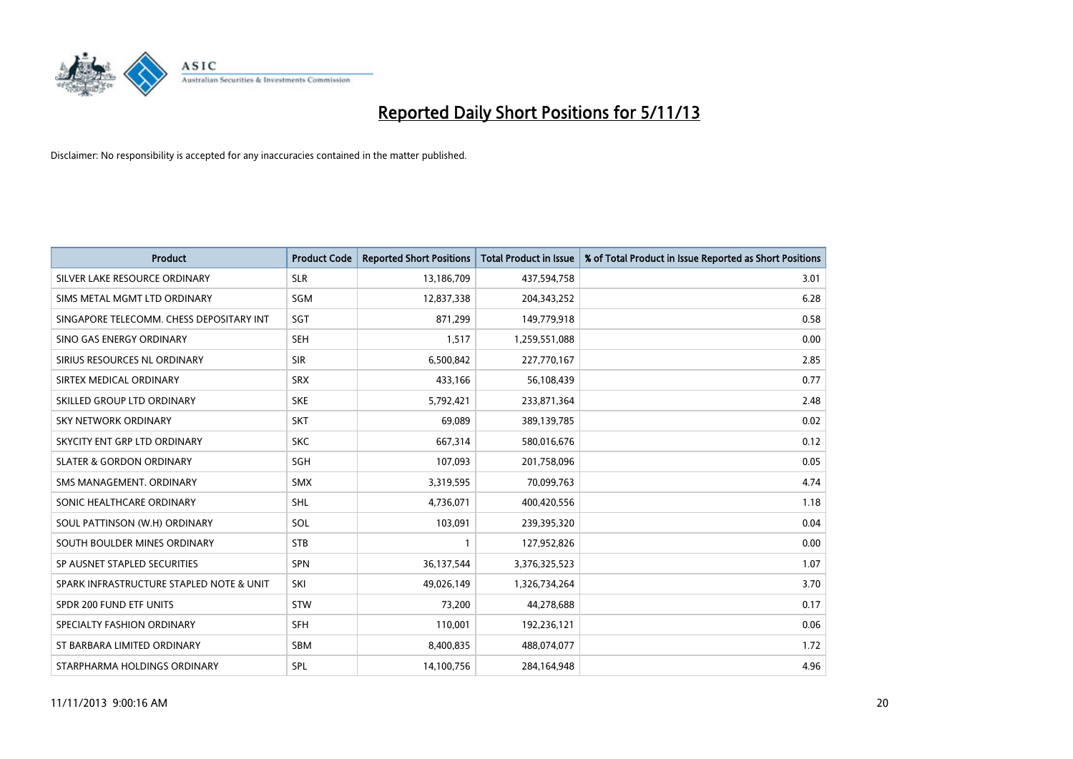

| <b>Product</b>                           | <b>Product Code</b> | <b>Reported Short Positions</b> | <b>Total Product in Issue</b> | % of Total Product in Issue Reported as Short Positions |
|------------------------------------------|---------------------|---------------------------------|-------------------------------|---------------------------------------------------------|
| SILVER LAKE RESOURCE ORDINARY            | <b>SLR</b>          | 13,186,709                      | 437,594,758                   | 3.01                                                    |
| SIMS METAL MGMT LTD ORDINARY             | SGM                 | 12,837,338                      | 204,343,252                   | 6.28                                                    |
| SINGAPORE TELECOMM. CHESS DEPOSITARY INT | SGT                 | 871,299                         | 149,779,918                   | 0.58                                                    |
| SINO GAS ENERGY ORDINARY                 | <b>SEH</b>          | 1,517                           | 1,259,551,088                 | 0.00                                                    |
| SIRIUS RESOURCES NL ORDINARY             | <b>SIR</b>          | 6,500,842                       | 227,770,167                   | 2.85                                                    |
| SIRTEX MEDICAL ORDINARY                  | <b>SRX</b>          | 433,166                         | 56,108,439                    | 0.77                                                    |
| SKILLED GROUP LTD ORDINARY               | <b>SKE</b>          | 5,792,421                       | 233,871,364                   | 2.48                                                    |
| SKY NETWORK ORDINARY                     | <b>SKT</b>          | 69,089                          | 389,139,785                   | 0.02                                                    |
| SKYCITY ENT GRP LTD ORDINARY             | <b>SKC</b>          | 667,314                         | 580,016,676                   | 0.12                                                    |
| <b>SLATER &amp; GORDON ORDINARY</b>      | SGH                 | 107,093                         | 201,758,096                   | 0.05                                                    |
| SMS MANAGEMENT. ORDINARY                 | <b>SMX</b>          | 3,319,595                       | 70,099,763                    | 4.74                                                    |
| SONIC HEALTHCARE ORDINARY                | SHL                 | 4,736,071                       | 400,420,556                   | 1.18                                                    |
| SOUL PATTINSON (W.H) ORDINARY            | SOL                 | 103,091                         | 239,395,320                   | 0.04                                                    |
| SOUTH BOULDER MINES ORDINARY             | <b>STB</b>          | $\mathbf{1}$                    | 127,952,826                   | 0.00                                                    |
| SP AUSNET STAPLED SECURITIES             | <b>SPN</b>          | 36,137,544                      | 3,376,325,523                 | 1.07                                                    |
| SPARK INFRASTRUCTURE STAPLED NOTE & UNIT | SKI                 | 49,026,149                      | 1,326,734,264                 | 3.70                                                    |
| SPDR 200 FUND ETF UNITS                  | <b>STW</b>          | 73,200                          | 44,278,688                    | 0.17                                                    |
| SPECIALTY FASHION ORDINARY               | <b>SFH</b>          | 110,001                         | 192,236,121                   | 0.06                                                    |
| ST BARBARA LIMITED ORDINARY              | <b>SBM</b>          | 8,400,835                       | 488,074,077                   | 1.72                                                    |
| STARPHARMA HOLDINGS ORDINARY             | <b>SPL</b>          | 14,100,756                      | 284,164,948                   | 4.96                                                    |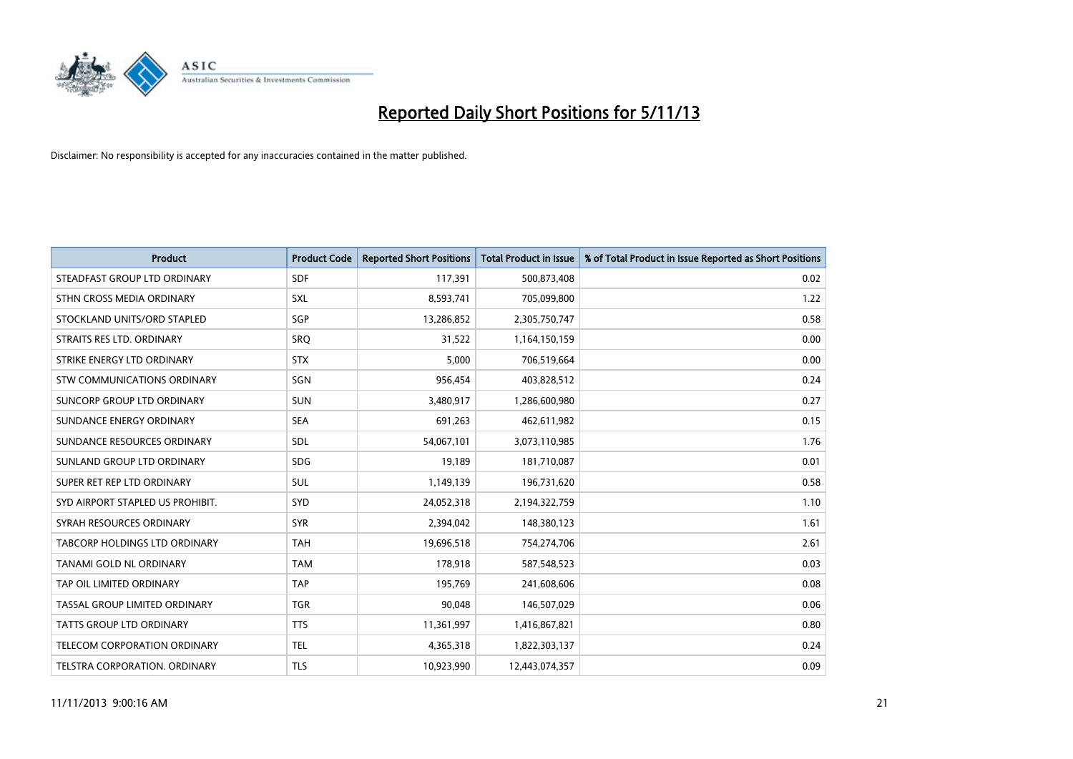

| <b>Product</b>                       | <b>Product Code</b> | <b>Reported Short Positions</b> | <b>Total Product in Issue</b> | % of Total Product in Issue Reported as Short Positions |
|--------------------------------------|---------------------|---------------------------------|-------------------------------|---------------------------------------------------------|
| STEADFAST GROUP LTD ORDINARY         | <b>SDF</b>          | 117,391                         | 500,873,408                   | 0.02                                                    |
| STHN CROSS MEDIA ORDINARY            | <b>SXL</b>          | 8,593,741                       | 705,099,800                   | 1.22                                                    |
| STOCKLAND UNITS/ORD STAPLED          | SGP                 | 13,286,852                      | 2,305,750,747                 | 0.58                                                    |
| STRAITS RES LTD. ORDINARY            | <b>SRQ</b>          | 31,522                          | 1,164,150,159                 | 0.00                                                    |
| STRIKE ENERGY LTD ORDINARY           | <b>STX</b>          | 5,000                           | 706,519,664                   | 0.00                                                    |
| STW COMMUNICATIONS ORDINARY          | SGN                 | 956,454                         | 403,828,512                   | 0.24                                                    |
| SUNCORP GROUP LTD ORDINARY           | <b>SUN</b>          | 3,480,917                       | 1,286,600,980                 | 0.27                                                    |
| SUNDANCE ENERGY ORDINARY             | <b>SEA</b>          | 691,263                         | 462,611,982                   | 0.15                                                    |
| SUNDANCE RESOURCES ORDINARY          | SDL                 | 54,067,101                      | 3,073,110,985                 | 1.76                                                    |
| SUNLAND GROUP LTD ORDINARY           | <b>SDG</b>          | 19,189                          | 181,710,087                   | 0.01                                                    |
| SUPER RET REP LTD ORDINARY           | SUL                 | 1,149,139                       | 196,731,620                   | 0.58                                                    |
| SYD AIRPORT STAPLED US PROHIBIT.     | <b>SYD</b>          | 24,052,318                      | 2,194,322,759                 | 1.10                                                    |
| SYRAH RESOURCES ORDINARY             | <b>SYR</b>          | 2,394,042                       | 148,380,123                   | 1.61                                                    |
| <b>TABCORP HOLDINGS LTD ORDINARY</b> | <b>TAH</b>          | 19,696,518                      | 754,274,706                   | 2.61                                                    |
| TANAMI GOLD NL ORDINARY              | <b>TAM</b>          | 178,918                         | 587,548,523                   | 0.03                                                    |
| TAP OIL LIMITED ORDINARY             | <b>TAP</b>          | 195,769                         | 241,608,606                   | 0.08                                                    |
| TASSAL GROUP LIMITED ORDINARY        | <b>TGR</b>          | 90,048                          | 146,507,029                   | 0.06                                                    |
| TATTS GROUP LTD ORDINARY             | <b>TTS</b>          | 11,361,997                      | 1,416,867,821                 | 0.80                                                    |
| TELECOM CORPORATION ORDINARY         | <b>TEL</b>          | 4,365,318                       | 1,822,303,137                 | 0.24                                                    |
| TELSTRA CORPORATION. ORDINARY        | <b>TLS</b>          | 10,923,990                      | 12,443,074,357                | 0.09                                                    |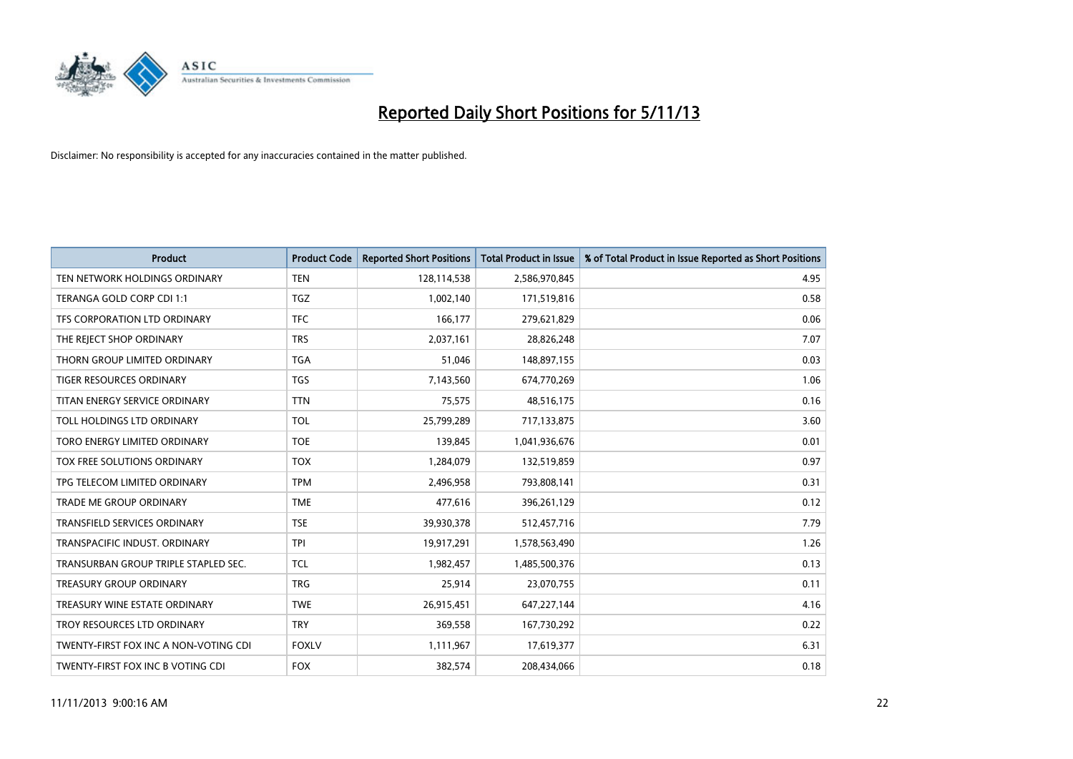

| <b>Product</b>                        | <b>Product Code</b> | <b>Reported Short Positions</b> | <b>Total Product in Issue</b> | % of Total Product in Issue Reported as Short Positions |
|---------------------------------------|---------------------|---------------------------------|-------------------------------|---------------------------------------------------------|
| TEN NETWORK HOLDINGS ORDINARY         | <b>TEN</b>          | 128,114,538                     | 2,586,970,845                 | 4.95                                                    |
| TERANGA GOLD CORP CDI 1:1             | <b>TGZ</b>          | 1,002,140                       | 171,519,816                   | 0.58                                                    |
| TFS CORPORATION LTD ORDINARY          | <b>TFC</b>          | 166,177                         | 279,621,829                   | 0.06                                                    |
| THE REJECT SHOP ORDINARY              | <b>TRS</b>          | 2,037,161                       | 28,826,248                    | 7.07                                                    |
| THORN GROUP LIMITED ORDINARY          | <b>TGA</b>          | 51,046                          | 148,897,155                   | 0.03                                                    |
| TIGER RESOURCES ORDINARY              | <b>TGS</b>          | 7,143,560                       | 674,770,269                   | 1.06                                                    |
| TITAN ENERGY SERVICE ORDINARY         | <b>TTN</b>          | 75,575                          | 48,516,175                    | 0.16                                                    |
| TOLL HOLDINGS LTD ORDINARY            | <b>TOL</b>          | 25,799,289                      | 717,133,875                   | 3.60                                                    |
| TORO ENERGY LIMITED ORDINARY          | <b>TOE</b>          | 139,845                         | 1,041,936,676                 | 0.01                                                    |
| <b>TOX FREE SOLUTIONS ORDINARY</b>    | <b>TOX</b>          | 1,284,079                       | 132,519,859                   | 0.97                                                    |
| TPG TELECOM LIMITED ORDINARY          | <b>TPM</b>          | 2,496,958                       | 793,808,141                   | 0.31                                                    |
| <b>TRADE ME GROUP ORDINARY</b>        | <b>TME</b>          | 477,616                         | 396,261,129                   | 0.12                                                    |
| <b>TRANSFIELD SERVICES ORDINARY</b>   | <b>TSE</b>          | 39,930,378                      | 512,457,716                   | 7.79                                                    |
| TRANSPACIFIC INDUST, ORDINARY         | <b>TPI</b>          | 19,917,291                      | 1,578,563,490                 | 1.26                                                    |
| TRANSURBAN GROUP TRIPLE STAPLED SEC.  | <b>TCL</b>          | 1,982,457                       | 1,485,500,376                 | 0.13                                                    |
| TREASURY GROUP ORDINARY               | <b>TRG</b>          | 25,914                          | 23,070,755                    | 0.11                                                    |
| TREASURY WINE ESTATE ORDINARY         | <b>TWE</b>          | 26,915,451                      | 647,227,144                   | 4.16                                                    |
| TROY RESOURCES LTD ORDINARY           | <b>TRY</b>          | 369,558                         | 167,730,292                   | 0.22                                                    |
| TWENTY-FIRST FOX INC A NON-VOTING CDI | <b>FOXLV</b>        | 1,111,967                       | 17,619,377                    | 6.31                                                    |
| TWENTY-FIRST FOX INC B VOTING CDI     | <b>FOX</b>          | 382,574                         | 208,434,066                   | 0.18                                                    |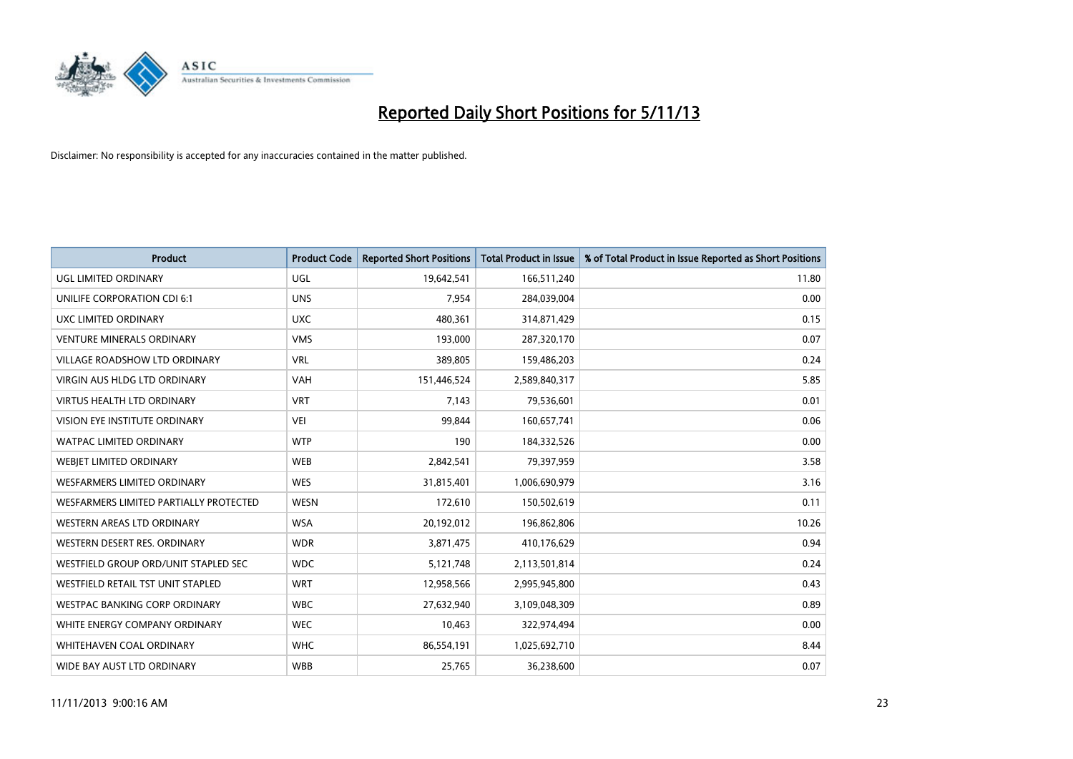

| <b>Product</b>                         | <b>Product Code</b> | <b>Reported Short Positions</b> | <b>Total Product in Issue</b> | % of Total Product in Issue Reported as Short Positions |
|----------------------------------------|---------------------|---------------------------------|-------------------------------|---------------------------------------------------------|
| <b>UGL LIMITED ORDINARY</b>            | UGL                 | 19,642,541                      | 166,511,240                   | 11.80                                                   |
| UNILIFE CORPORATION CDI 6:1            | <b>UNS</b>          | 7,954                           | 284,039,004                   | 0.00                                                    |
| UXC LIMITED ORDINARY                   | <b>UXC</b>          | 480,361                         | 314,871,429                   | 0.15                                                    |
| <b>VENTURE MINERALS ORDINARY</b>       | <b>VMS</b>          | 193,000                         | 287,320,170                   | 0.07                                                    |
| <b>VILLAGE ROADSHOW LTD ORDINARY</b>   | <b>VRL</b>          | 389,805                         | 159,486,203                   | 0.24                                                    |
| <b>VIRGIN AUS HLDG LTD ORDINARY</b>    | <b>VAH</b>          | 151,446,524                     | 2,589,840,317                 | 5.85                                                    |
| <b>VIRTUS HEALTH LTD ORDINARY</b>      | <b>VRT</b>          | 7,143                           | 79,536,601                    | 0.01                                                    |
| VISION EYE INSTITUTE ORDINARY          | <b>VEI</b>          | 99,844                          | 160,657,741                   | 0.06                                                    |
| WATPAC LIMITED ORDINARY                | <b>WTP</b>          | 190                             | 184,332,526                   | 0.00                                                    |
| WEBJET LIMITED ORDINARY                | <b>WEB</b>          | 2,842,541                       | 79,397,959                    | 3.58                                                    |
| <b>WESFARMERS LIMITED ORDINARY</b>     | <b>WES</b>          | 31,815,401                      | 1,006,690,979                 | 3.16                                                    |
| WESFARMERS LIMITED PARTIALLY PROTECTED | <b>WESN</b>         | 172,610                         | 150,502,619                   | 0.11                                                    |
| WESTERN AREAS LTD ORDINARY             | <b>WSA</b>          | 20,192,012                      | 196,862,806                   | 10.26                                                   |
| WESTERN DESERT RES. ORDINARY           | <b>WDR</b>          | 3,871,475                       | 410,176,629                   | 0.94                                                    |
| WESTFIELD GROUP ORD/UNIT STAPLED SEC   | <b>WDC</b>          | 5,121,748                       | 2,113,501,814                 | 0.24                                                    |
| WESTFIELD RETAIL TST UNIT STAPLED      | <b>WRT</b>          | 12,958,566                      | 2,995,945,800                 | 0.43                                                    |
| <b>WESTPAC BANKING CORP ORDINARY</b>   | <b>WBC</b>          | 27,632,940                      | 3,109,048,309                 | 0.89                                                    |
| WHITE ENERGY COMPANY ORDINARY          | <b>WEC</b>          | 10,463                          | 322,974,494                   | 0.00                                                    |
| WHITEHAVEN COAL ORDINARY               | <b>WHC</b>          | 86,554,191                      | 1,025,692,710                 | 8.44                                                    |
| WIDE BAY AUST LTD ORDINARY             | <b>WBB</b>          | 25,765                          | 36,238,600                    | 0.07                                                    |